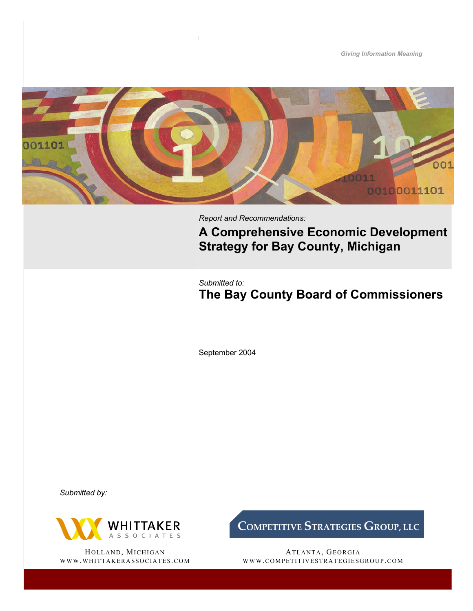*Giving Information Meaning*  001 00100011101

*Report and Recommendations:* 

**A Comprehensive Economic Development Strategy for Bay County, Michigan** 

*Submitted to:*

**The Bay County Board of Commissioners**

September 2004

*Submitted by:* 



HOLLAND, MICHIGAN WWW.WHITTAKERASSOCIATES.COM **COMPETITIVE STRATEGIES GROUP, LLC** 

ATLANTA, GEORGIA WWW.COMPETITIVESTRATEGIESGROUP.COM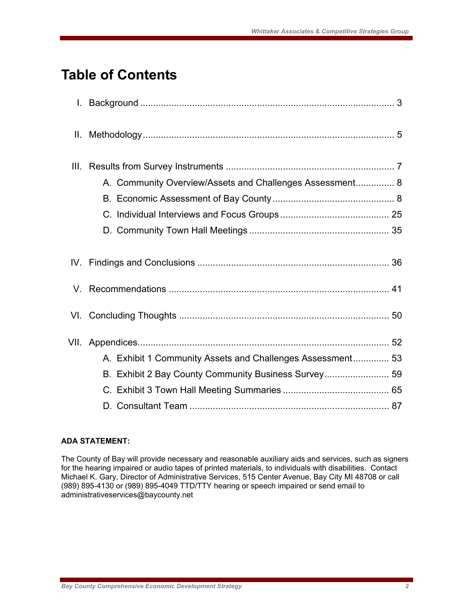## **Table of Contents**

| Ⅱ.   |                                                            |  |
|------|------------------------------------------------------------|--|
| III. |                                                            |  |
|      | A. Community Overview/Assets and Challenges Assessment 8   |  |
|      |                                                            |  |
|      |                                                            |  |
|      |                                                            |  |
|      |                                                            |  |
|      |                                                            |  |
|      |                                                            |  |
| VII. |                                                            |  |
|      | A. Exhibit 1 Community Assets and Challenges Assessment 53 |  |
|      | B. Exhibit 2 Bay County Community Business Survey 59       |  |
|      |                                                            |  |
|      |                                                            |  |

## **ADA STATEMENT:**

The County of Bay will provide necessary and reasonable auxiliary aids and services, such as signers for the hearing impaired or audio tapes of printed materials, to individuals with disabilities. Contact Michael K. Gary, Director of Administrative Services, 515 Center Avenue, Bay City MI 48708 or call (989) 895-4130 or (989) 895-4049 TTD/TTY hearing or speech impaired or send email to administrativeservices@baycounty.net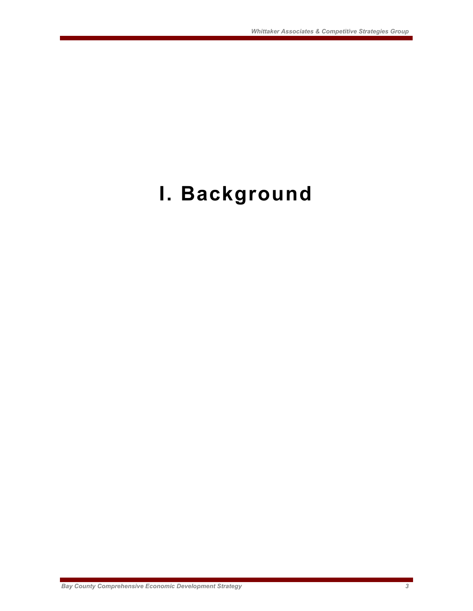# **I. Background**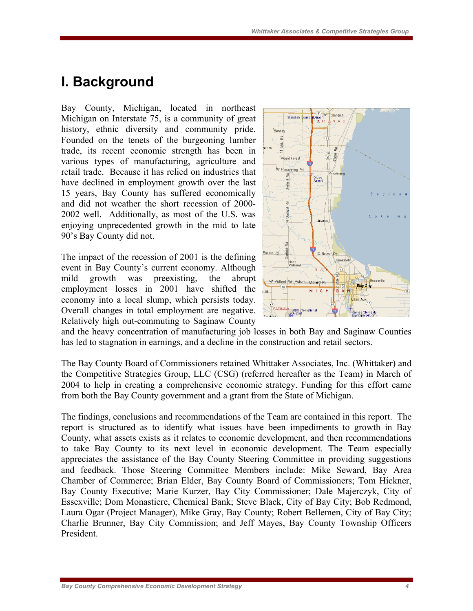## **I. Background**

Bay County, Michigan, located in northeast Michigan on Interstate 75, is a community of great history, ethnic diversity and community pride. Founded on the tenets of the burgeoning lumber trade, its recent economic strength has been in various types of manufacturing, agriculture and retail trade. Because it has relied on industries that have declined in employment growth over the last 15 years, Bay County has suffered economically and did not weather the short recession of 2000- 2002 well. Additionally, as most of the U.S. was enjoying unprecedented growth in the mid to late 90's Bay County did not.

The impact of the recession of 2001 is the defining event in Bay County's current economy. Although mild growth was preexisting, the abrupt employment losses in 2001 have shifted the economy into a local slump, which persists today. Overall changes in total employment are negative. Relatively high out-commuting to Saginaw County



and the heavy concentration of manufacturing job losses in both Bay and Saginaw Counties has led to stagnation in earnings, and a decline in the construction and retail sectors.

The Bay County Board of Commissioners retained Whittaker Associates, Inc. (Whittaker) and the Competitive Strategies Group, LLC (CSG) (referred hereafter as the Team) in March of 2004 to help in creating a comprehensive economic strategy. Funding for this effort came from both the Bay County government and a grant from the State of Michigan.

The findings, conclusions and recommendations of the Team are contained in this report. The report is structured as to identify what issues have been impediments to growth in Bay County, what assets exists as it relates to economic development, and then recommendations to take Bay County to its next level in economic development. The Team especially appreciates the assistance of the Bay County Steering Committee in providing suggestions and feedback. Those Steering Committee Members include: Mike Seward, Bay Area Chamber of Commerce; Brian Elder, Bay County Board of Commissioners; Tom Hickner, Bay County Executive; Marie Kurzer, Bay City Commissioner; Dale Majerczyk, City of Essexville; Dom Monastiere, Chemical Bank; Steve Black, City of Bay City; Bob Redmond, Laura Ogar (Project Manager), Mike Gray, Bay County; Robert Bellemen, City of Bay City; Charlie Brunner, Bay City Commission; and Jeff Mayes, Bay County Township Officers President.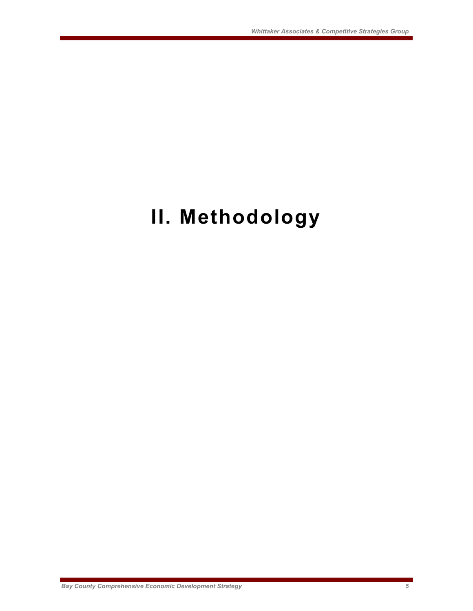# **II. Methodology**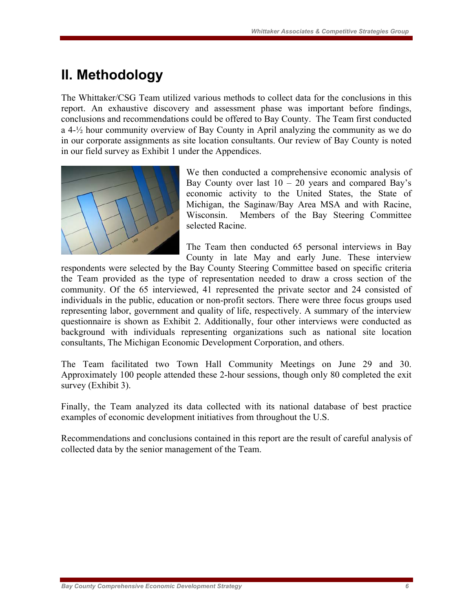## **II. Methodology**

The Whittaker/CSG Team utilized various methods to collect data for the conclusions in this report. An exhaustive discovery and assessment phase was important before findings, conclusions and recommendations could be offered to Bay County. The Team first conducted a 4-½ hour community overview of Bay County in April analyzing the community as we do in our corporate assignments as site location consultants. Our review of Bay County is noted in our field survey as Exhibit 1 under the Appendices.



We then conducted a comprehensive economic analysis of Bay County over last  $10 - 20$  years and compared Bay's economic activity to the United States, the State of Michigan, the Saginaw/Bay Area MSA and with Racine, Wisconsin. Members of the Bay Steering Committee selected Racine.

The Team then conducted 65 personal interviews in Bay County in late May and early June. These interview

respondents were selected by the Bay County Steering Committee based on specific criteria the Team provided as the type of representation needed to draw a cross section of the community. Of the 65 interviewed, 41 represented the private sector and 24 consisted of individuals in the public, education or non-profit sectors. There were three focus groups used representing labor, government and quality of life, respectively. A summary of the interview questionnaire is shown as Exhibit 2. Additionally, four other interviews were conducted as background with individuals representing organizations such as national site location consultants, The Michigan Economic Development Corporation, and others.

The Team facilitated two Town Hall Community Meetings on June 29 and 30. Approximately 100 people attended these 2-hour sessions, though only 80 completed the exit survey (Exhibit 3).

Finally, the Team analyzed its data collected with its national database of best practice examples of economic development initiatives from throughout the U.S.

Recommendations and conclusions contained in this report are the result of careful analysis of collected data by the senior management of the Team.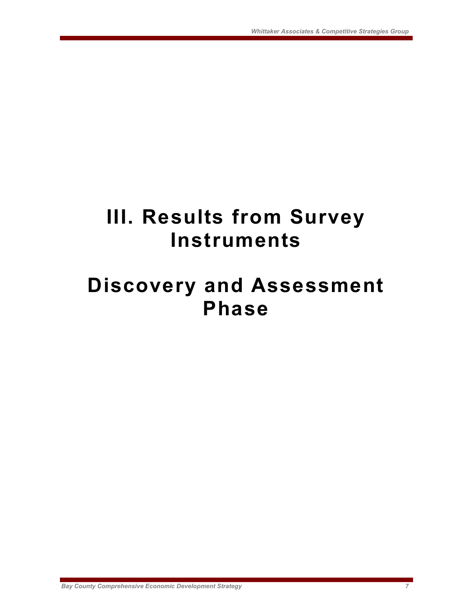# **III. Results from Survey Instruments**

## **Discovery and Assessment Phase**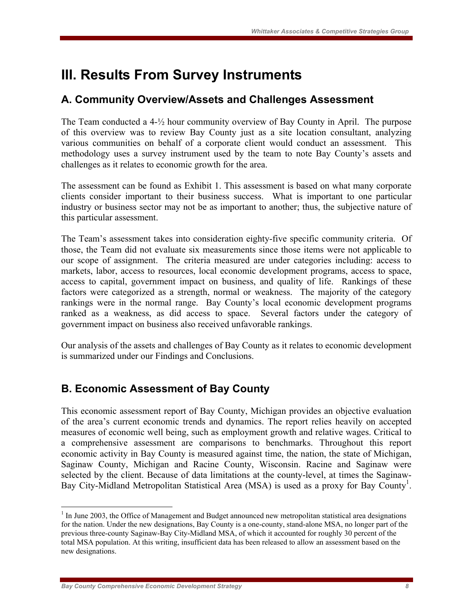## **III. Results From Survey Instruments**

## **A. Community Overview/Assets and Challenges Assessment**

The Team conducted a 4-½ hour community overview of Bay County in April. The purpose of this overview was to review Bay County just as a site location consultant, analyzing various communities on behalf of a corporate client would conduct an assessment. This methodology uses a survey instrument used by the team to note Bay County's assets and challenges as it relates to economic growth for the area.

The assessment can be found as Exhibit 1. This assessment is based on what many corporate clients consider important to their business success. What is important to one particular industry or business sector may not be as important to another; thus, the subjective nature of this particular assessment.

The Team's assessment takes into consideration eighty-five specific community criteria. Of those, the Team did not evaluate six measurements since those items were not applicable to our scope of assignment. The criteria measured are under categories including: access to markets, labor, access to resources, local economic development programs, access to space, access to capital, government impact on business, and quality of life. Rankings of these factors were categorized as a strength, normal or weakness. The majority of the category rankings were in the normal range. Bay County's local economic development programs ranked as a weakness, as did access to space. Several factors under the category of government impact on business also received unfavorable rankings.

Our analysis of the assets and challenges of Bay County as it relates to economic development is summarized under our Findings and Conclusions.

## **B. Economic Assessment of Bay County**

This economic assessment report of Bay County, Michigan provides an objective evaluation of the area's current economic trends and dynamics. The report relies heavily on accepted measures of economic well being, such as employment growth and relative wages. Critical to a comprehensive assessment are comparisons to benchmarks. Throughout this report economic activity in Bay County is measured against time, the nation, the state of Michigan, Saginaw County, Michigan and Racine County, Wisconsin. Racine and Saginaw were selected by the client. Because of data limitations at the county-level, at times the Saginaw-Bay City-Midland Metropolitan Statistical Area (MSA) is used as a proxy for Bay County<sup>1</sup>.

 $\overline{a}$ 

<sup>&</sup>lt;sup>1</sup> In June 2003, the Office of Management and Budget announced new metropolitan statistical area designations for the nation. Under the new designations, Bay County is a one-county, stand-alone MSA, no longer part of the previous three-county Saginaw-Bay City-Midland MSA, of which it accounted for roughly 30 percent of the total MSA population. At this writing, insufficient data has been released to allow an assessment based on the new designations.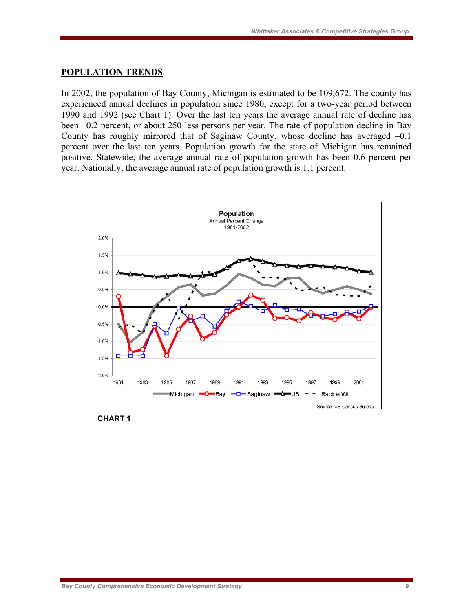#### **POPULATION TRENDS**

In 2002, the population of Bay County, Michigan is estimated to be 109,672. The county has experienced annual declines in population since 1980, except for a two-year period between 1990 and 1992 (see Chart 1). Over the last ten years the average annual rate of decline has been –0.2 percent, or about 250 less persons per year. The rate of population decline in Bay County has roughly mirrored that of Saginaw County, whose decline has averaged –0.1 percent over the last ten years. Population growth for the state of Michigan has remained positive. Statewide, the average annual rate of population growth has been 0.6 percent per year. Nationally, the average annual rate of population growth is 1.1 percent.



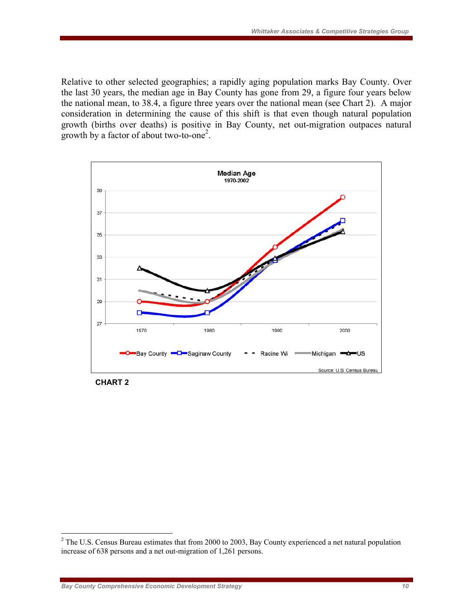Relative to other selected geographies; a rapidly aging population marks Bay County. Over the last 30 years, the median age in Bay County has gone from 29, a figure four years below the national mean, to 38.4, a figure three years over the national mean (see Chart 2). A major consideration in determining the cause of this shift is that even though natural population growth (births over deaths) is positive in Bay County, net out-migration outpaces natural growth by a factor of about two-to-one<sup>2</sup>.



**CHART 2** 

 $\overline{a}$ 

 $2^2$  The U.S. Census Bureau estimates that from 2000 to 2003, Bay County experienced a net natural population increase of 638 persons and a net out-migration of 1,261 persons.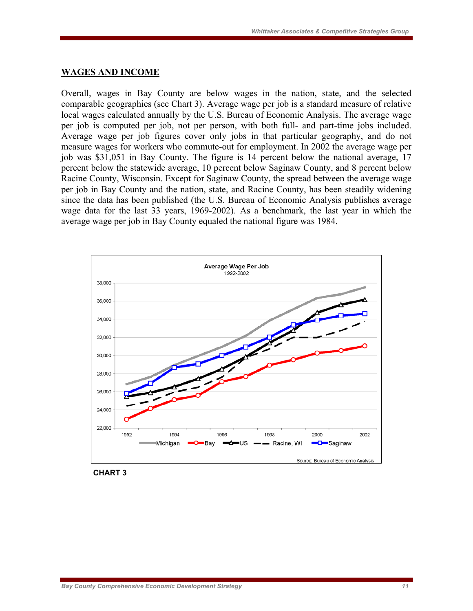#### **WAGES AND INCOME**

Overall, wages in Bay County are below wages in the nation, state, and the selected comparable geographies (see Chart 3). Average wage per job is a standard measure of relative local wages calculated annually by the U.S. Bureau of Economic Analysis. The average wage per job is computed per job, not per person, with both full- and part-time jobs included. Average wage per job figures cover only jobs in that particular geography, and do not measure wages for workers who commute-out for employment. In 2002 the average wage per job was \$31,051 in Bay County. The figure is 14 percent below the national average, 17 percent below the statewide average, 10 percent below Saginaw County, and 8 percent below Racine County, Wisconsin. Except for Saginaw County, the spread between the average wage per job in Bay County and the nation, state, and Racine County, has been steadily widening since the data has been published (the U.S. Bureau of Economic Analysis publishes average wage data for the last 33 years, 1969-2002). As a benchmark, the last year in which the average wage per job in Bay County equaled the national figure was 1984.



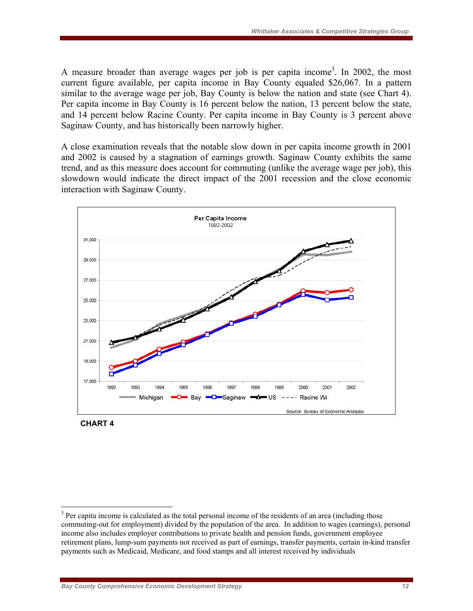A measure broader than average wages per job is per capita income<sup>3</sup>. In 2002, the most current figure available, per capita income in Bay County equaled \$26,067. In a pattern similar to the average wage per job, Bay County is below the nation and state (see Chart 4). Per capita income in Bay County is 16 percent below the nation, 13 percent below the state, and 14 percent below Racine County. Per capita income in Bay County is 3 percent above Saginaw County, and has historically been narrowly higher.

A close examination reveals that the notable slow down in per capita income growth in 2001 and 2002 is caused by a stagnation of earnings growth. Saginaw County exhibits the same trend, and as this measure does account for commuting (unlike the average wage per job), this slowdown would indicate the direct impact of the 2001 recession and the close economic interaction with Saginaw County.





 $\overline{a}$ 

<sup>&</sup>lt;sup>3</sup> Per capita income is calculated as the total personal income of the residents of an area (including those commuting-out for employment) divided by the population of the area. In addition to wages (earnings), personal income also includes employer contributions to private health and pension funds, government employee retirement plans, lump-sum payments not received as part of earnings, transfer payments, certain in-kind transfer payments such as Medicaid, Medicare, and food stamps and all interest received by individuals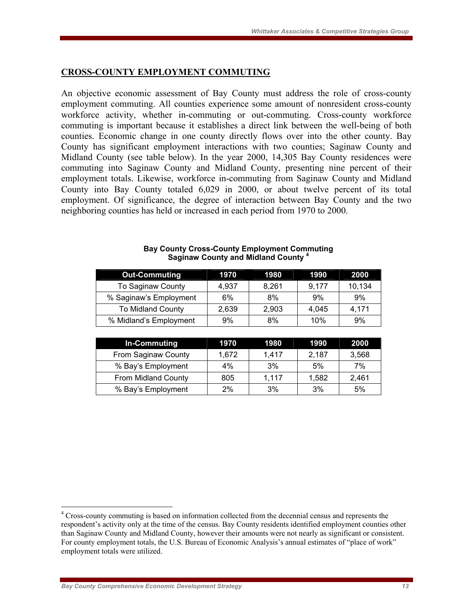## **CROSS-COUNTY EMPLOYMENT COMMUTING**

An objective economic assessment of Bay County must address the role of cross-county employment commuting. All counties experience some amount of nonresident cross-county workforce activity, whether in-commuting or out-commuting. Cross-county workforce commuting is important because it establishes a direct link between the well-being of both counties. Economic change in one county directly flows over into the other county. Bay County has significant employment interactions with two counties; Saginaw County and Midland County (see table below). In the year 2000, 14,305 Bay County residences were commuting into Saginaw County and Midland County, presenting nine percent of their employment totals. Likewise, workforce in-commuting from Saginaw County and Midland County into Bay County totaled 6,029 in 2000, or about twelve percent of its total employment. Of significance, the degree of interaction between Bay County and the two neighboring counties has held or increased in each period from 1970 to 2000.

| <b>Out-Commuting</b>     | 1970  | 1980  | 1990  | 2000   |
|--------------------------|-------|-------|-------|--------|
| To Saginaw County        | 4.937 | 8,261 | 9.177 | 10,134 |
| % Saginaw's Employment   | 6%    | 8%    | 9%    | 9%     |
| <b>To Midland County</b> | 2,639 | 2,903 | 4,045 | 4,171  |
| % Midland's Employment   | 9%    | 8%    | 10%   | 9%     |

#### **Bay County Cross-County Employment Commuting Saginaw County and Midland County <sup>4</sup>**

| In-Commuting        | 1970  | 1980  | 1990  | 2000  |
|---------------------|-------|-------|-------|-------|
| From Saginaw County | 1.672 | 1.417 | 2.187 | 3,568 |
| % Bay's Employment  | $4\%$ | 3%    | 5%    | 7%    |
| From Midland County | 805   | 1,117 | 1,582 | 2,461 |
| % Bay's Employment  | 2%    | 3%    | 3%    | 5%    |

 $\overline{a}$ 

<sup>&</sup>lt;sup>4</sup> Cross-county commuting is based on information collected from the decennial census and represents the respondent's activity only at the time of the census. Bay County residents identified employment counties other than Saginaw County and Midland County, however their amounts were not nearly as significant or consistent. For county employment totals, the U.S. Bureau of Economic Analysis's annual estimates of "place of work" employment totals were utilized.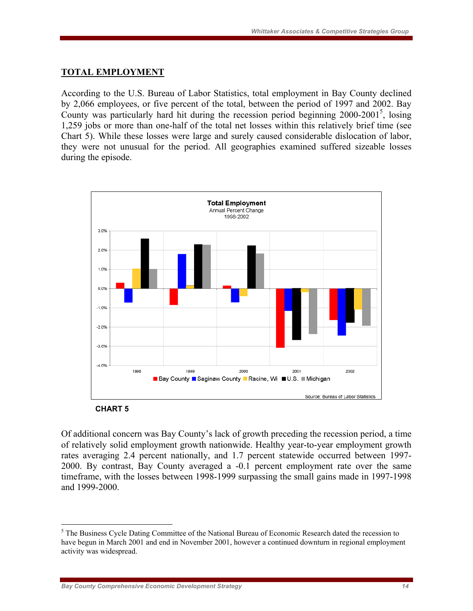#### **TOTAL EMPLOYMENT**

According to the U.S. Bureau of Labor Statistics, total employment in Bay County declined by 2,066 employees, or five percent of the total, between the period of 1997 and 2002. Bay County was particularly hard hit during the recession period beginning 2000-2001<sup>5</sup>, losing 1,259 jobs or more than one-half of the total net losses within this relatively brief time (see Chart 5). While these losses were large and surely caused considerable dislocation of labor, they were not unusual for the period. All geographies examined suffered sizeable losses during the episode.





 $\overline{a}$ 

Of additional concern was Bay County's lack of growth preceding the recession period, a time of relatively solid employment growth nationwide. Healthy year-to-year employment growth rates averaging 2.4 percent nationally, and 1.7 percent statewide occurred between 1997- 2000. By contrast, Bay County averaged a -0.1 percent employment rate over the same timeframe, with the losses between 1998-1999 surpassing the small gains made in 1997-1998 and 1999-2000.

<sup>&</sup>lt;sup>5</sup> The Business Cycle Dating Committee of the National Bureau of Economic Research dated the recession to have begun in March 2001 and end in November 2001, however a continued downturn in regional employment activity was widespread.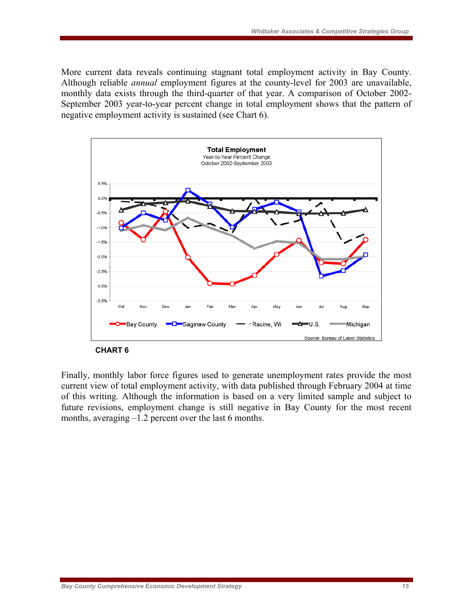More current data reveals continuing stagnant total employment activity in Bay County. Although reliable *annual* employment figures at the county-level for 2003 are unavailable, monthly data exists through the third-quarter of that year. A comparison of October 2002- September 2003 year-to-year percent change in total employment shows that the pattern of negative employment activity is sustained (see Chart 6).



 **CHART 6** 

Finally, monthly labor force figures used to generate unemployment rates provide the most current view of total employment activity, with data published through February 2004 at time of this writing. Although the information is based on a very limited sample and subject to future revisions, employment change is still negative in Bay County for the most recent months, averaging –1.2 percent over the last 6 months.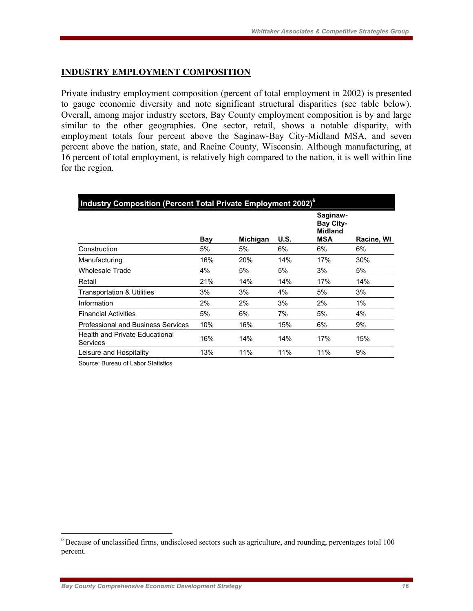## **INDUSTRY EMPLOYMENT COMPOSITION**

Private industry employment composition (percent of total employment in 2002) is presented to gauge economic diversity and note significant structural disparities (see table below). Overall, among major industry sectors, Bay County employment composition is by and large similar to the other geographies. One sector, retail, shows a notable disparity, with employment totals four percent above the Saginaw-Bay City-Midland MSA, and seven percent above the nation, state, and Racine County, Wisconsin. Although manufacturing, at 16 percent of total employment, is relatively high compared to the nation, it is well within line for the region.

| Industry Composition (Percent Total Private Employment 2002) $^6$ |     |                 |             |                                                              |            |  |  |  |  |
|-------------------------------------------------------------------|-----|-----------------|-------------|--------------------------------------------------------------|------------|--|--|--|--|
|                                                                   | Bay | <b>Michigan</b> | <b>U.S.</b> | Saginaw-<br><b>Bay City-</b><br><b>Midland</b><br><b>MSA</b> | Racine, WI |  |  |  |  |
| Construction                                                      | 5%  | 5%              | 6%          | 6%                                                           | 6%         |  |  |  |  |
| Manufacturing                                                     | 16% | 20%             | 14%         | 17%                                                          | 30%        |  |  |  |  |
| Wholesale Trade                                                   | 4%  | 5%              | 5%          | 3%                                                           | 5%         |  |  |  |  |
| Retail                                                            | 21% | 14%             | 14%         | 17%                                                          | 14%        |  |  |  |  |
| <b>Transportation &amp; Utilities</b>                             | 3%  | 3%              | 4%          | 5%                                                           | 3%         |  |  |  |  |
| Information                                                       | 2%  | 2%              | 3%          | 2%                                                           | 1%         |  |  |  |  |
| <b>Financial Activities</b>                                       | 5%  | 6%              | 7%          | 5%                                                           | 4%         |  |  |  |  |
| Professional and Business Services                                | 10% | 16%             | 15%         | 6%                                                           | 9%         |  |  |  |  |
| <b>Health and Private Educational</b><br>Services                 | 16% | 14%             | 14%         | 17%                                                          | 15%        |  |  |  |  |
| Leisure and Hospitality                                           | 13% | 11%             | 11%         | 11%                                                          | 9%         |  |  |  |  |
|                                                                   |     |                 |             |                                                              |            |  |  |  |  |

Source: Bureau of Labor Statistics

 $\overline{a}$ 

<sup>&</sup>lt;sup>6</sup> Because of unclassified firms, undisclosed sectors such as agriculture, and rounding, percentages total 100 percent.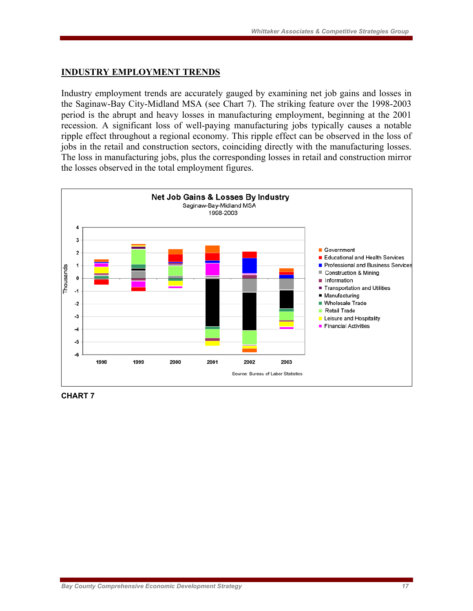### **INDUSTRY EMPLOYMENT TRENDS**

Industry employment trends are accurately gauged by examining net job gains and losses in the Saginaw-Bay City-Midland MSA (see Chart 7). The striking feature over the 1998-2003 period is the abrupt and heavy losses in manufacturing employment, beginning at the 2001 recession. A significant loss of well-paying manufacturing jobs typically causes a notable ripple effect throughout a regional economy. This ripple effect can be observed in the loss of jobs in the retail and construction sectors, coinciding directly with the manufacturing losses. The loss in manufacturing jobs, plus the corresponding losses in retail and construction mirror the losses observed in the total employment figures.



**CHART 7**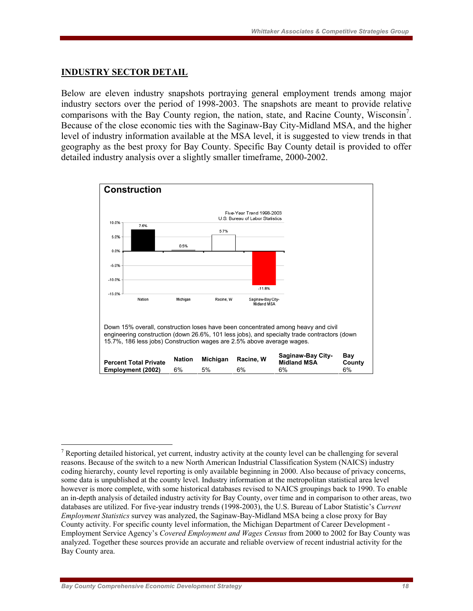#### **INDUSTRY SECTOR DETAIL**

Below are eleven industry snapshots portraying general employment trends among major industry sectors over the period of 1998-2003. The snapshots are meant to provide relative comparisons with the Bay County region, the nation, state, and Racine County, Wisconsin<sup>7</sup>. Because of the close economic ties with the Saginaw-Bay City-Midland MSA, and the higher level of industry information available at the MSA level, it is suggested to view trends in that geography as the best proxy for Bay County. Specific Bay County detail is provided to offer detailed industry analysis over a slightly smaller timeframe, 2000-2002.



 $\overline{a}$ <sup>7</sup> Reporting detailed historical, yet current, industry activity at the county level can be challenging for several reasons. Because of the switch to a new North American Industrial Classification System (NAICS) industry coding hierarchy, county level reporting is only available beginning in 2000. Also because of privacy concerns, some data is unpublished at the county level. Industry information at the metropolitan statistical area level however is more complete, with some historical databases revised to NAICS groupings back to 1990. To enable an in-depth analysis of detailed industry activity for Bay County, over time and in comparison to other areas, two databases are utilized. For five-year industry trends (1998-2003), the U.S. Bureau of Labor Statistic's *Current Employment Statistics* survey was analyzed, the Saginaw-Bay-Midland MSA being a close proxy for Bay County activity. For specific county level information, the Michigan Department of Career Development - Employment Service Agency's *Covered Employment and Wages Census* from 2000 to 2002 for Bay County was analyzed. Together these sources provide an accurate and reliable overview of recent industrial activity for the Bay County area.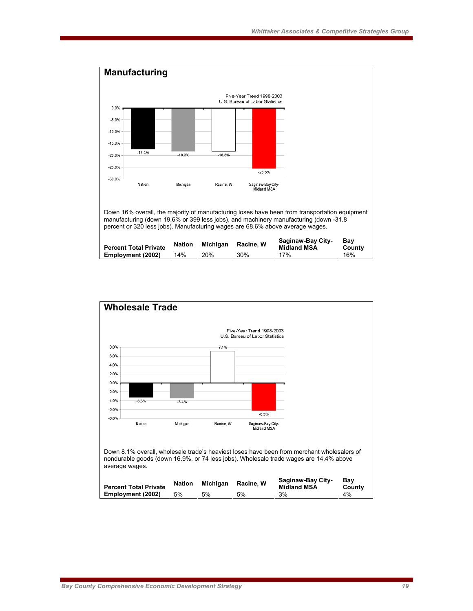

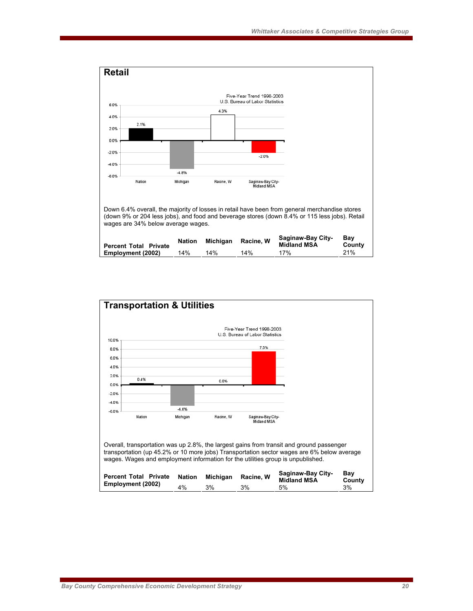

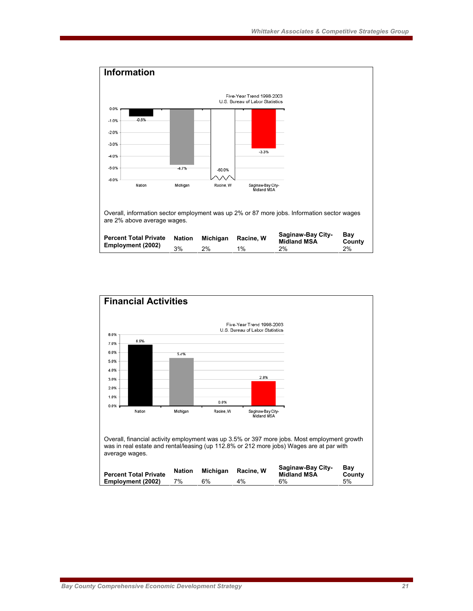

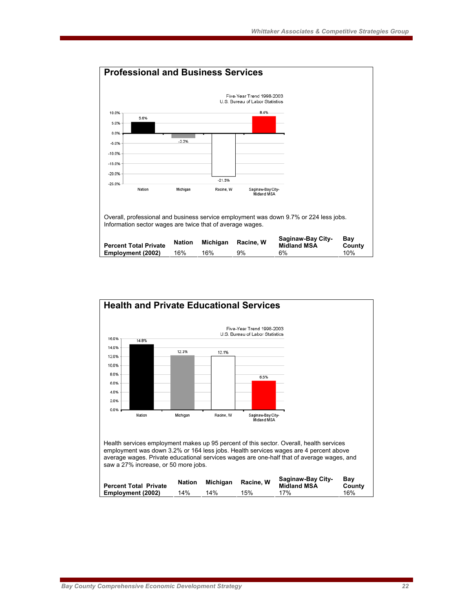

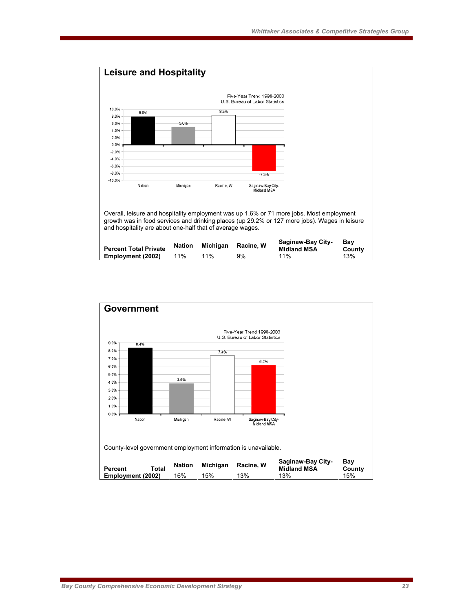

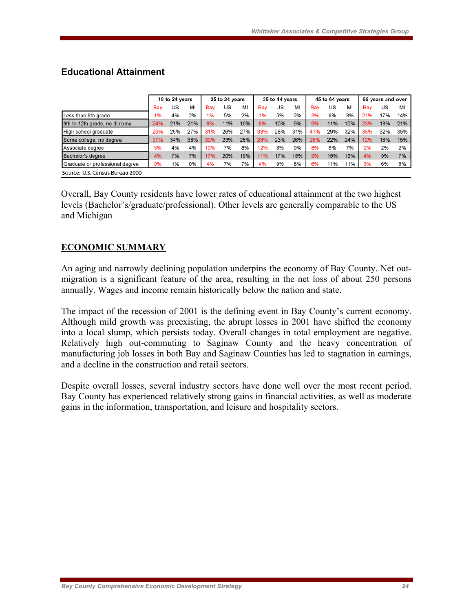|                                 | 18 to 24 years |     | 25 to 34 years |     | 35 to 44 years |     | 45 to 64 years |     | 65 years and over |     |     |     |     |     |     |
|---------------------------------|----------------|-----|----------------|-----|----------------|-----|----------------|-----|-------------------|-----|-----|-----|-----|-----|-----|
|                                 | Bav            | US  | MI             | Bay | US             | MI  | Bay            | US  | MI                | Bav | US  | MI  | Bay | US  | MI  |
| Less than 9th grade             | 1%             | 4%  | 2%             | 1%  | 5%             | 2%  | 1%             | 5%  | 2%                | 3%  | 6%  | 3%  | 21% | 17% | 14% |
| 9th to 12th grade, no diploma   | 24%            | 21% | 21%            | 8%  | 11%            | 10% | 8%             | 10% | 9%                | 9%  | 11% | 10% | 23% | 18% | 21% |
| High school graduate            | 29%            | 29% | 27%            | 31% | 26%            | 27% | 38%            | 28% | 31%               | 41% | 29% | 32% | 35% | 32% | 35% |
| Some college, no degree         | 37%            | 34% | 38%            | 30% | 23%            | 26% | 26%            | 23% | 26%               | 25% | 22% | 24% | 12% | 16% | 15% |
| Associate degree                | 5%             | 4%  | 4%             | 10% | 7%             | 8%  | 12%            | 8%  | 9%                | 8%  | 6%  | 7%  | 2%  | 2%  | 2%  |
| Bachelor's degree               | 4%             | 7%  | 7%             | 17% | 20%            | 19% | 11%            | 17% | 15%               | 9%  | 15% | 13% | 4%  | 9%  | 7%  |
| Graduate or professional degree | 0%             | 1%  | 0%             | 4%  | 7%             | 7%  | 4%             | 9%  | 8%                | 6%  | 11% | 11% | 3%  | 6%  | 6%  |
| Source: U.S. Census Bureau 2000 |                |     |                |     |                |     |                |     |                   |     |     |     |     |     |     |

## **Educational Attainment**

Overall, Bay County residents have lower rates of educational attainment at the two highest levels (Bachelor's/graduate/professional). Other levels are generally comparable to the US and Michigan

## **ECONOMIC SUMMARY**

An aging and narrowly declining population underpins the economy of Bay County. Net outmigration is a significant feature of the area, resulting in the net loss of about 250 persons annually. Wages and income remain historically below the nation and state.

The impact of the recession of 2001 is the defining event in Bay County's current economy. Although mild growth was preexisting, the abrupt losses in 2001 have shifted the economy into a local slump, which persists today. Overall changes in total employment are negative. Relatively high out-commuting to Saginaw County and the heavy concentration of manufacturing job losses in both Bay and Saginaw Counties has led to stagnation in earnings, and a decline in the construction and retail sectors.

Despite overall losses, several industry sectors have done well over the most recent period. Bay County has experienced relatively strong gains in financial activities, as well as moderate gains in the information, transportation, and leisure and hospitality sectors.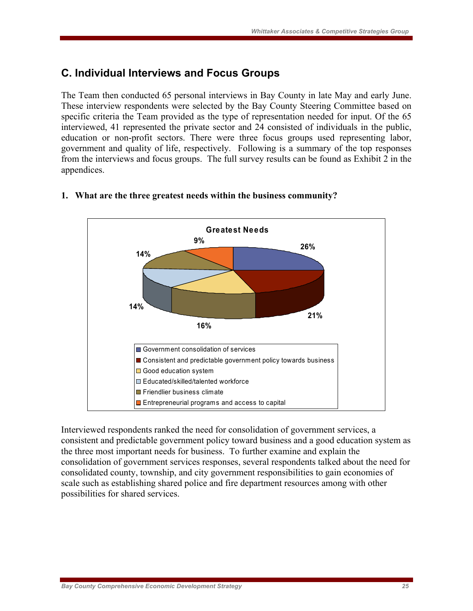## **C. Individual Interviews and Focus Groups**

The Team then conducted 65 personal interviews in Bay County in late May and early June. These interview respondents were selected by the Bay County Steering Committee based on specific criteria the Team provided as the type of representation needed for input. Of the 65 interviewed, 41 represented the private sector and 24 consisted of individuals in the public, education or non-profit sectors. There were three focus groups used representing labor, government and quality of life, respectively. Following is a summary of the top responses from the interviews and focus groups. The full survey results can be found as Exhibit 2 in the appendices.



### **1. What are the three greatest needs within the business community?**

Interviewed respondents ranked the need for consolidation of government services, a consistent and predictable government policy toward business and a good education system as the three most important needs for business. To further examine and explain the consolidation of government services responses, several respondents talked about the need for consolidated county, township, and city government responsibilities to gain economies of scale such as establishing shared police and fire department resources among with other possibilities for shared services.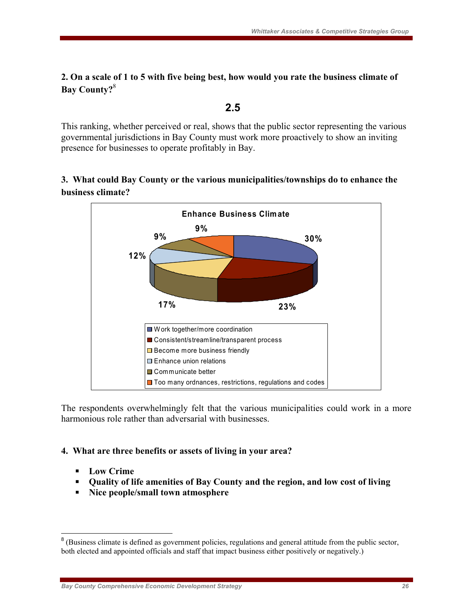## **2. On a scale of 1 to 5 with five being best, how would you rate the business climate of Bay County?**<sup>8</sup>

### **2.5**

This ranking, whether perceived or real, shows that the public sector representing the various governmental jurisdictions in Bay County must work more proactively to show an inviting presence for businesses to operate profitably in Bay.

## **3. What could Bay County or the various municipalities/townships do to enhance the business climate?**



The respondents overwhelmingly felt that the various municipalities could work in a more harmonious role rather than adversarial with businesses.

## **4. What are three benefits or assets of living in your area?**

- **Low Crime**
- **Quality of life amenities of Bay County and the region, and low cost of living**
- **Nice people/small town atmosphere**

<sup>&</sup>lt;sup>8</sup> (Business climate is defined as government policies, regulations and general attitude from the public sector, both elected and appointed officials and staff that impact business either positively or negatively.)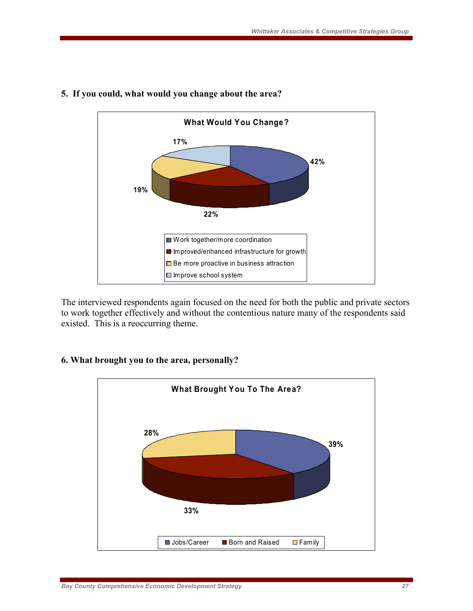

## **5. If you could, what would you change about the area?**

The interviewed respondents again focused on the need for both the public and private sectors to work together effectively and without the contentious nature many of the respondents said existed. This is a reoccurring theme.

## **6. What brought you to the area, personally?**

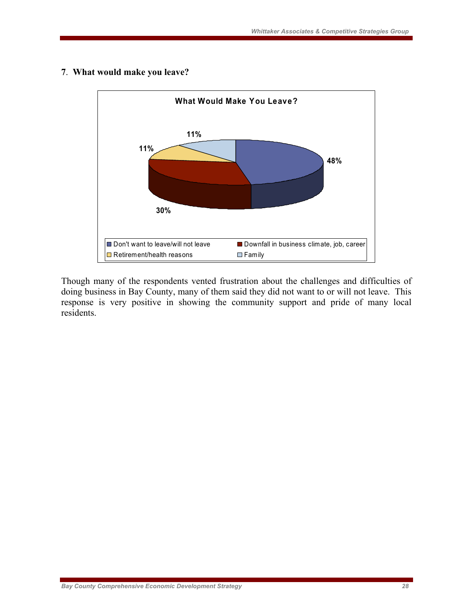

### **7**. **What would make you leave?**

Though many of the respondents vented frustration about the challenges and difficulties of doing business in Bay County, many of them said they did not want to or will not leave. This response is very positive in showing the community support and pride of many local residents.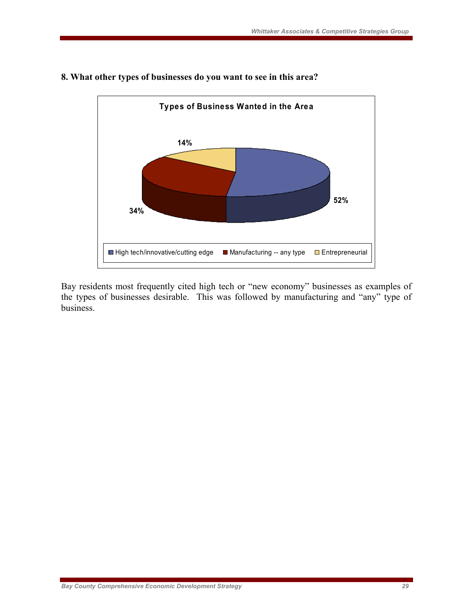

## **8. What other types of businesses do you want to see in this area?**

Bay residents most frequently cited high tech or "new economy" businesses as examples of the types of businesses desirable. This was followed by manufacturing and "any" type of business.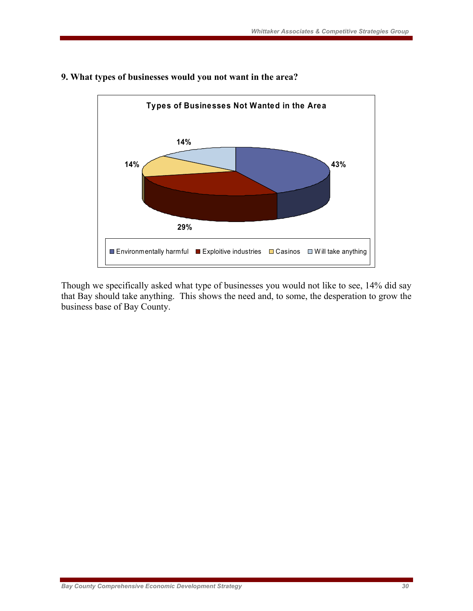

#### **9. What types of businesses would you not want in the area?**

Though we specifically asked what type of businesses you would not like to see, 14% did say that Bay should take anything. This shows the need and, to some, the desperation to grow the business base of Bay County.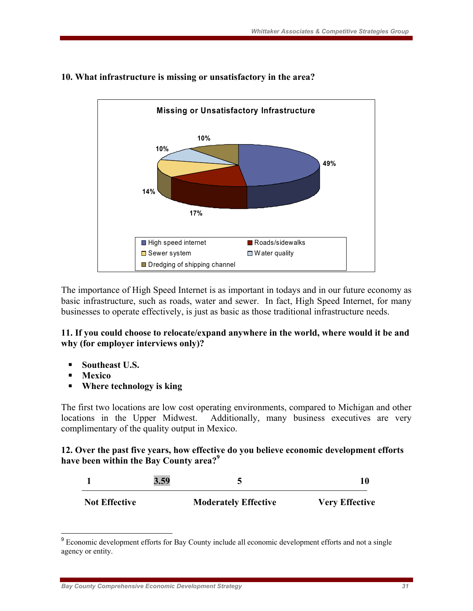

## **10. What infrastructure is missing or unsatisfactory in the area?**

The importance of High Speed Internet is as important in todays and in our future economy as basic infrastructure, such as roads, water and sewer. In fact, High Speed Internet, for many businesses to operate effectively, is just as basic as those traditional infrastructure needs.

## **11. If you could choose to relocate/expand anywhere in the world, where would it be and why (for employer interviews only)?**

- **Southeast U.S.**
- **Mexico**
- **Where technology is king**

The first two locations are low cost operating environments, compared to Michigan and other locations in the Upper Midwest. Additionally, many business executives are very complimentary of the quality output in Mexico.

### **12. Over the past five years, how effective do you believe economic development efforts have been within the Bay County area?9**

|                      | 3.59 |                             |                       |
|----------------------|------|-----------------------------|-----------------------|
| <b>Not Effective</b> |      | <b>Moderately Effective</b> | <b>Very Effective</b> |

<sup>&</sup>lt;sup>9</sup> Economic development efforts for Bay County include all economic development efforts and not a single agency or entity.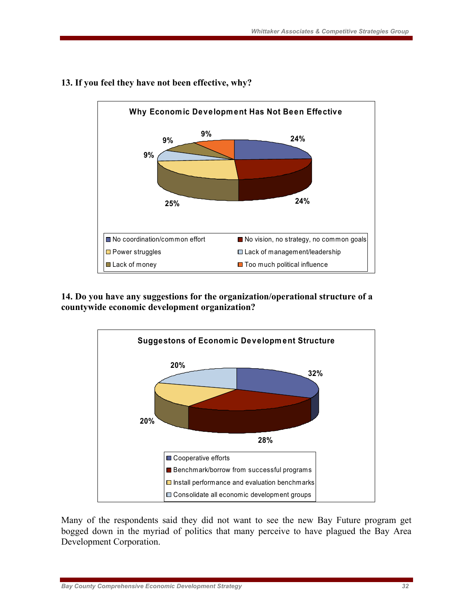

## **13. If you feel they have not been effective, why?**

**14. Do you have any suggestions for the organization/operational structure of a countywide economic development organization?**



Many of the respondents said they did not want to see the new Bay Future program get bogged down in the myriad of politics that many perceive to have plagued the Bay Area Development Corporation.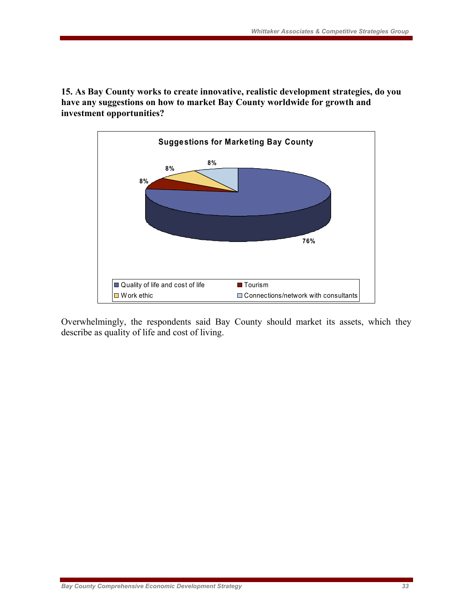**15. As Bay County works to create innovative, realistic development strategies, do you have any suggestions on how to market Bay County worldwide for growth and investment opportunities?** 



Overwhelmingly, the respondents said Bay County should market its assets, which they describe as quality of life and cost of living.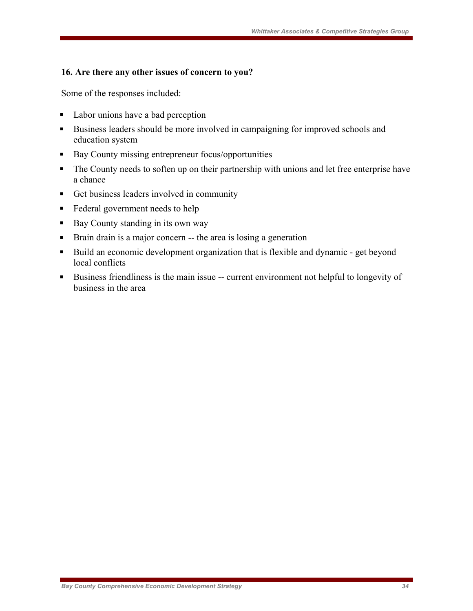### **16. Are there any other issues of concern to you?**

Some of the responses included:

- Labor unions have a bad perception
- Business leaders should be more involved in campaigning for improved schools and education system
- Bay County missing entrepreneur focus/opportunities
- The County needs to soften up on their partnership with unions and let free enterprise have a chance
- Get business leaders involved in community
- Federal government needs to help
- Bay County standing in its own way
- Brain drain is a major concern -- the area is losing a generation
- Build an economic development organization that is flexible and dynamic get beyond local conflicts
- Business friendliness is the main issue -- current environment not helpful to longevity of business in the area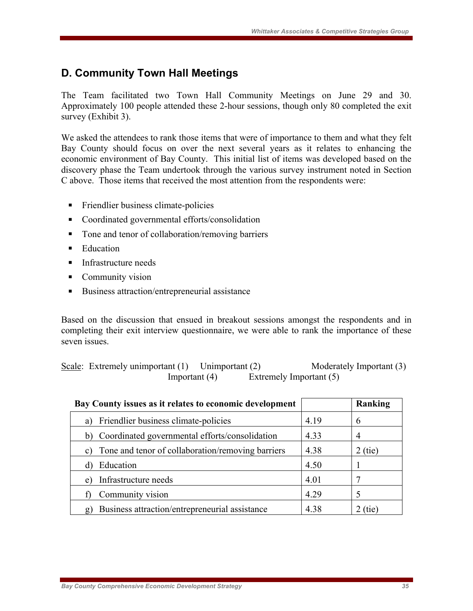## **D. Community Town Hall Meetings**

The Team facilitated two Town Hall Community Meetings on June 29 and 30. Approximately 100 people attended these 2-hour sessions, though only 80 completed the exit survey (Exhibit 3).

We asked the attendees to rank those items that were of importance to them and what they felt Bay County should focus on over the next several years as it relates to enhancing the economic environment of Bay County. This initial list of items was developed based on the discovery phase the Team undertook through the various survey instrument noted in Section C above. Those items that received the most attention from the respondents were:

- Friendlier business climate-policies
- Coordinated governmental efforts/consolidation
- Tone and tenor of collaboration/removing barriers
- $\blacksquare$  Education
- Infrastructure needs
- Community vision
- Business attraction/entrepreneurial assistance

Based on the discussion that ensued in breakout sessions amongst the respondents and in completing their exit interview questionnaire, we were able to rank the importance of these seven issues.

| Scale: Extremely unimportant (1) Unimportant (2) |                         | Moderately Important (3) |
|--------------------------------------------------|-------------------------|--------------------------|
| Important $(4)$                                  | Extremely Important (5) |                          |

| Bay County issues as it relates to economic development        |      | Ranking   |
|----------------------------------------------------------------|------|-----------|
| Friendlier business climate-policies<br>a)                     | 4.19 | 6         |
| Coordinated governmental efforts/consolidation<br>b)           | 4.33 | 4         |
| Tone and tenor of collaboration/removing barriers<br>C)        | 4.38 | $2$ (tie) |
| Education                                                      | 4.50 |           |
| Infrastructure needs<br>e)                                     | 4.01 |           |
| Community vision                                               | 4.29 | 5         |
| Business attraction/entrepreneurial assistance<br>$\mathbf{g}$ | 4.38 | (tie)     |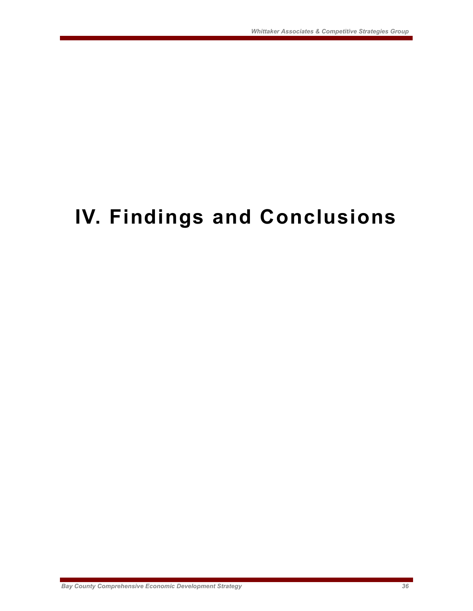# **IV. Findings and Conclusions**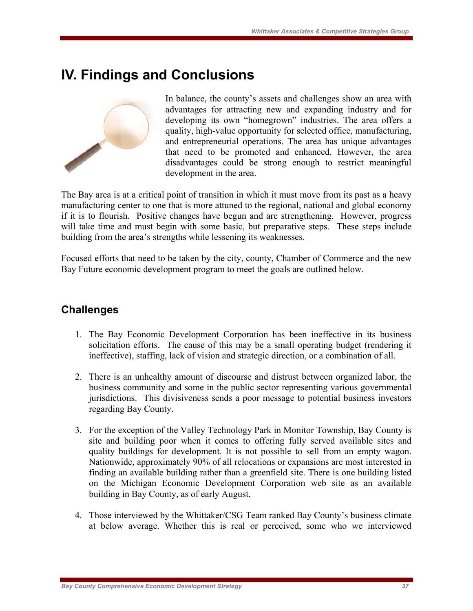# **IV. Findings and Conclusions**



In balance, the county's assets and challenges show an area with advantages for attracting new and expanding industry and for developing its own "homegrown" industries. The area offers a quality, high-value opportunity for selected office, manufacturing, and entrepreneurial operations. The area has unique advantages that need to be promoted and enhanced. However, the area disadvantages could be strong enough to restrict meaningful development in the area.

The Bay area is at a critical point of transition in which it must move from its past as a heavy manufacturing center to one that is more attuned to the regional, national and global economy if it is to flourish. Positive changes have begun and are strengthening. However, progress will take time and must begin with some basic, but preparative steps. These steps include building from the area's strengths while lessening its weaknesses.

Focused efforts that need to be taken by the city, county, Chamber of Commerce and the new Bay Future economic development program to meet the goals are outlined below.

## **Challenges**

- 1. The Bay Economic Development Corporation has been ineffective in its business solicitation efforts. The cause of this may be a small operating budget (rendering it ineffective), staffing, lack of vision and strategic direction, or a combination of all.
- 2. There is an unhealthy amount of discourse and distrust between organized labor, the business community and some in the public sector representing various governmental jurisdictions. This divisiveness sends a poor message to potential business investors regarding Bay County.
- 3. For the exception of the Valley Technology Park in Monitor Township, Bay County is site and building poor when it comes to offering fully served available sites and quality buildings for development. It is not possible to sell from an empty wagon. Nationwide, approximately 90% of all relocations or expansions are most interested in finding an available building rather than a greenfield site. There is one building listed on the Michigan Economic Development Corporation web site as an available building in Bay County, as of early August.
- 4. Those interviewed by the Whittaker/CSG Team ranked Bay County's business climate at below average. Whether this is real or perceived, some who we interviewed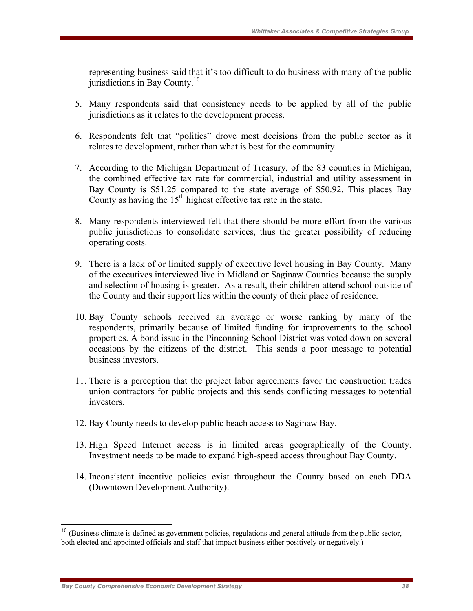representing business said that it's too difficult to do business with many of the public jurisdictions in Bay County. $10$ 

- 5. Many respondents said that consistency needs to be applied by all of the public jurisdictions as it relates to the development process.
- 6. Respondents felt that "politics" drove most decisions from the public sector as it relates to development, rather than what is best for the community.
- 7. According to the Michigan Department of Treasury, of the 83 counties in Michigan, the combined effective tax rate for commercial, industrial and utility assessment in Bay County is \$51.25 compared to the state average of \$50.92. This places Bay County as having the  $15<sup>th</sup>$  highest effective tax rate in the state.
- 8. Many respondents interviewed felt that there should be more effort from the various public jurisdictions to consolidate services, thus the greater possibility of reducing operating costs.
- 9. There is a lack of or limited supply of executive level housing in Bay County. Many of the executives interviewed live in Midland or Saginaw Counties because the supply and selection of housing is greater. As a result, their children attend school outside of the County and their support lies within the county of their place of residence.
- 10. Bay County schools received an average or worse ranking by many of the respondents, primarily because of limited funding for improvements to the school properties. A bond issue in the Pinconning School District was voted down on several occasions by the citizens of the district. This sends a poor message to potential business investors.
- 11. There is a perception that the project labor agreements favor the construction trades union contractors for public projects and this sends conflicting messages to potential investors.
- 12. Bay County needs to develop public beach access to Saginaw Bay.
- 13. High Speed Internet access is in limited areas geographically of the County. Investment needs to be made to expand high-speed access throughout Bay County.
- 14. Inconsistent incentive policies exist throughout the County based on each DDA (Downtown Development Authority).

 $\overline{a}$ 

<sup>&</sup>lt;sup>10</sup> (Business climate is defined as government policies, regulations and general attitude from the public sector, both elected and appointed officials and staff that impact business either positively or negatively.)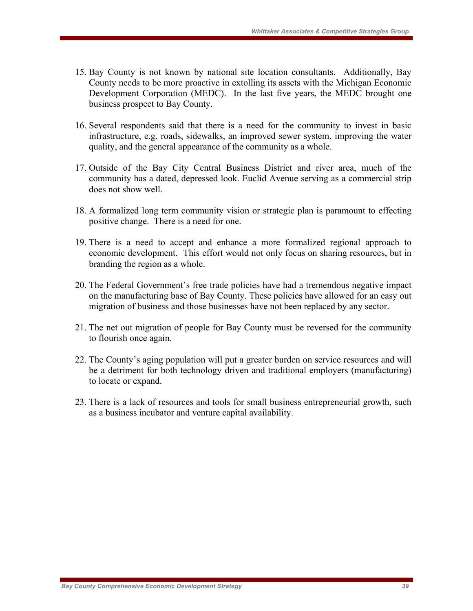- 15. Bay County is not known by national site location consultants. Additionally, Bay County needs to be more proactive in extolling its assets with the Michigan Economic Development Corporation (MEDC). In the last five years, the MEDC brought one business prospect to Bay County.
- 16. Several respondents said that there is a need for the community to invest in basic infrastructure, e.g. roads, sidewalks, an improved sewer system, improving the water quality, and the general appearance of the community as a whole.
- 17. Outside of the Bay City Central Business District and river area, much of the community has a dated, depressed look. Euclid Avenue serving as a commercial strip does not show well.
- 18. A formalized long term community vision or strategic plan is paramount to effecting positive change. There is a need for one.
- 19. There is a need to accept and enhance a more formalized regional approach to economic development. This effort would not only focus on sharing resources, but in branding the region as a whole.
- 20. The Federal Government's free trade policies have had a tremendous negative impact on the manufacturing base of Bay County. These policies have allowed for an easy out migration of business and those businesses have not been replaced by any sector.
- 21. The net out migration of people for Bay County must be reversed for the community to flourish once again.
- 22. The County's aging population will put a greater burden on service resources and will be a detriment for both technology driven and traditional employers (manufacturing) to locate or expand.
- 23. There is a lack of resources and tools for small business entrepreneurial growth, such as a business incubator and venture capital availability.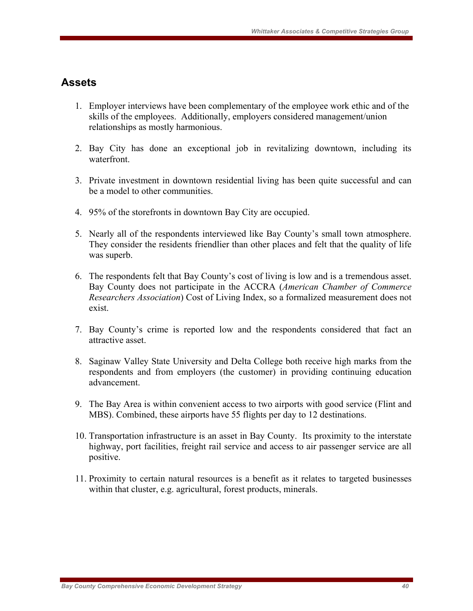### **Assets**

- 1. Employer interviews have been complementary of the employee work ethic and of the skills of the employees. Additionally, employers considered management/union relationships as mostly harmonious.
- 2. Bay City has done an exceptional job in revitalizing downtown, including its waterfront.
- 3. Private investment in downtown residential living has been quite successful and can be a model to other communities.
- 4. 95% of the storefronts in downtown Bay City are occupied.
- 5. Nearly all of the respondents interviewed like Bay County's small town atmosphere. They consider the residents friendlier than other places and felt that the quality of life was superb.
- 6. The respondents felt that Bay County's cost of living is low and is a tremendous asset. Bay County does not participate in the ACCRA (*American Chamber of Commerce Researchers Association*) Cost of Living Index, so a formalized measurement does not exist.
- 7. Bay County's crime is reported low and the respondents considered that fact an attractive asset.
- 8. Saginaw Valley State University and Delta College both receive high marks from the respondents and from employers (the customer) in providing continuing education advancement.
- 9. The Bay Area is within convenient access to two airports with good service (Flint and MBS). Combined, these airports have 55 flights per day to 12 destinations.
- 10. Transportation infrastructure is an asset in Bay County. Its proximity to the interstate highway, port facilities, freight rail service and access to air passenger service are all positive.
- 11. Proximity to certain natural resources is a benefit as it relates to targeted businesses within that cluster, e.g. agricultural, forest products, minerals.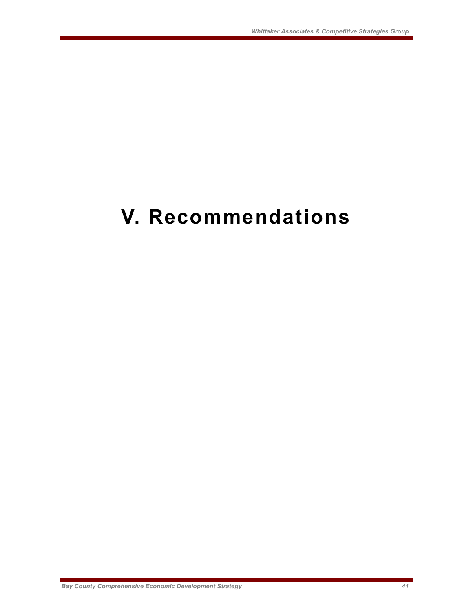# **V. Recommendations**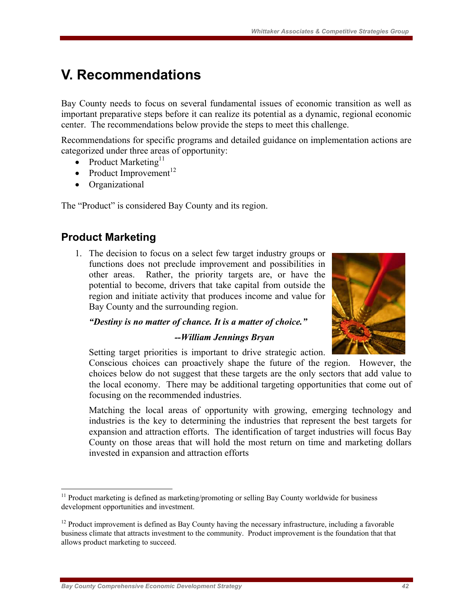# **V. Recommendations**

Bay County needs to focus on several fundamental issues of economic transition as well as important preparative steps before it can realize its potential as a dynamic, regional economic center. The recommendations below provide the steps to meet this challenge.

Recommendations for specific programs and detailed guidance on implementation actions are categorized under three areas of opportunity:

- Product Marketing<sup>11</sup>
- Product Improvement<sup>12</sup>
- Organizational

The "Product" is considered Bay County and its region.

## **Product Marketing**

 $\overline{a}$ 

1. The decision to focus on a select few target industry groups or functions does not preclude improvement and possibilities in other areas. Rather, the priority targets are, or have the potential to become, drivers that take capital from outside the region and initiate activity that produces income and value for Bay County and the surrounding region.



#### *"Destiny is no matter of chance. It is a matter of choice."*

#### *--William Jennings Bryan*

Setting target priorities is important to drive strategic action.

Conscious choices can proactively shape the future of the region. However, the choices below do not suggest that these targets are the only sectors that add value to the local economy. There may be additional targeting opportunities that come out of focusing on the recommended industries.

Matching the local areas of opportunity with growing, emerging technology and industries is the key to determining the industries that represent the best targets for expansion and attraction efforts. The identification of target industries will focus Bay County on those areas that will hold the most return on time and marketing dollars invested in expansion and attraction efforts

<sup>&</sup>lt;sup>11</sup> Product marketing is defined as marketing/promoting or selling Bay County worldwide for business development opportunities and investment.

<sup>&</sup>lt;sup>12</sup> Product improvement is defined as Bay County having the necessary infrastructure, including a favorable business climate that attracts investment to the community. Product improvement is the foundation that that allows product marketing to succeed.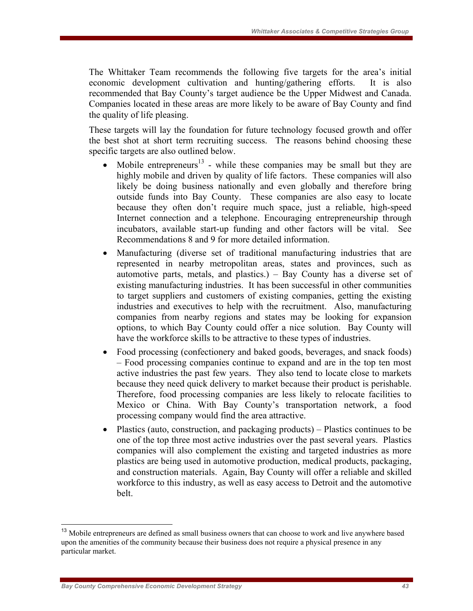The Whittaker Team recommends the following five targets for the area's initial economic development cultivation and hunting/gathering efforts. It is also recommended that Bay County's target audience be the Upper Midwest and Canada. Companies located in these areas are more likely to be aware of Bay County and find the quality of life pleasing.

These targets will lay the foundation for future technology focused growth and offer the best shot at short term recruiting success. The reasons behind choosing these specific targets are also outlined below.

- Mobile entrepreneurs<sup>13</sup> while these companies may be small but they are highly mobile and driven by quality of life factors. These companies will also likely be doing business nationally and even globally and therefore bring outside funds into Bay County. These companies are also easy to locate because they often don't require much space, just a reliable, high-speed Internet connection and a telephone. Encouraging entrepreneurship through incubators, available start-up funding and other factors will be vital. See Recommendations 8 and 9 for more detailed information.
- Manufacturing (diverse set of traditional manufacturing industries that are represented in nearby metropolitan areas, states and provinces, such as automotive parts, metals, and plastics.) – Bay County has a diverse set of existing manufacturing industries. It has been successful in other communities to target suppliers and customers of existing companies, getting the existing industries and executives to help with the recruitment. Also, manufacturing companies from nearby regions and states may be looking for expansion options, to which Bay County could offer a nice solution. Bay County will have the workforce skills to be attractive to these types of industries.
- Food processing (confectionery and baked goods, beverages, and snack foods) – Food processing companies continue to expand and are in the top ten most active industries the past few years. They also tend to locate close to markets because they need quick delivery to market because their product is perishable. Therefore, food processing companies are less likely to relocate facilities to Mexico or China. With Bay County's transportation network, a food processing company would find the area attractive.
- Plastics (auto, construction, and packaging products) Plastics continues to be one of the top three most active industries over the past several years. Plastics companies will also complement the existing and targeted industries as more plastics are being used in automotive production, medical products, packaging, and construction materials. Again, Bay County will offer a reliable and skilled workforce to this industry, as well as easy access to Detroit and the automotive belt.

 $\overline{a}$ 

<sup>&</sup>lt;sup>13</sup> Mobile entrepreneurs are defined as small business owners that can choose to work and live anywhere based upon the amenities of the community because their business does not require a physical presence in any particular market.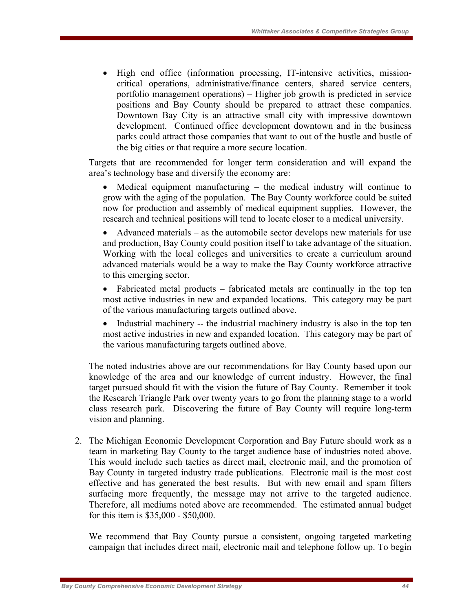• High end office (information processing, IT-intensive activities, missioncritical operations, administrative/finance centers, shared service centers, portfolio management operations) – Higher job growth is predicted in service positions and Bay County should be prepared to attract these companies. Downtown Bay City is an attractive small city with impressive downtown development. Continued office development downtown and in the business parks could attract those companies that want to out of the hustle and bustle of the big cities or that require a more secure location.

Targets that are recommended for longer term consideration and will expand the area's technology base and diversify the economy are:

• Medical equipment manufacturing – the medical industry will continue to grow with the aging of the population. The Bay County workforce could be suited now for production and assembly of medical equipment supplies. However, the research and technical positions will tend to locate closer to a medical university.

• Advanced materials – as the automobile sector develops new materials for use and production, Bay County could position itself to take advantage of the situation. Working with the local colleges and universities to create a curriculum around advanced materials would be a way to make the Bay County workforce attractive to this emerging sector.

• Fabricated metal products – fabricated metals are continually in the top ten most active industries in new and expanded locations. This category may be part of the various manufacturing targets outlined above.

• Industrial machinery -- the industrial machinery industry is also in the top ten most active industries in new and expanded location. This category may be part of the various manufacturing targets outlined above.

The noted industries above are our recommendations for Bay County based upon our knowledge of the area and our knowledge of current industry. However, the final target pursued should fit with the vision the future of Bay County. Remember it took the Research Triangle Park over twenty years to go from the planning stage to a world class research park. Discovering the future of Bay County will require long-term vision and planning.

2. The Michigan Economic Development Corporation and Bay Future should work as a team in marketing Bay County to the target audience base of industries noted above. This would include such tactics as direct mail, electronic mail, and the promotion of Bay County in targeted industry trade publications. Electronic mail is the most cost effective and has generated the best results. But with new email and spam filters surfacing more frequently, the message may not arrive to the targeted audience. Therefore, all mediums noted above are recommended. The estimated annual budget for this item is \$35,000 - \$50,000.

We recommend that Bay County pursue a consistent, ongoing targeted marketing campaign that includes direct mail, electronic mail and telephone follow up. To begin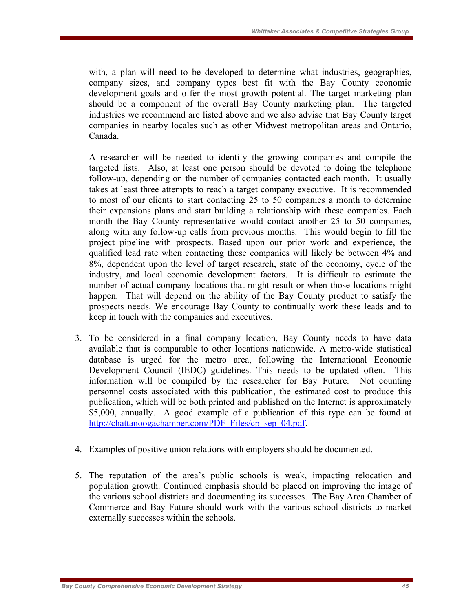with, a plan will need to be developed to determine what industries, geographies, company sizes, and company types best fit with the Bay County economic development goals and offer the most growth potential. The target marketing plan should be a component of the overall Bay County marketing plan. The targeted industries we recommend are listed above and we also advise that Bay County target companies in nearby locales such as other Midwest metropolitan areas and Ontario, Canada.

A researcher will be needed to identify the growing companies and compile the targeted lists. Also, at least one person should be devoted to doing the telephone follow-up, depending on the number of companies contacted each month. It usually takes at least three attempts to reach a target company executive. It is recommended to most of our clients to start contacting 25 to 50 companies a month to determine their expansions plans and start building a relationship with these companies. Each month the Bay County representative would contact another 25 to 50 companies, along with any follow-up calls from previous months. This would begin to fill the project pipeline with prospects. Based upon our prior work and experience, the qualified lead rate when contacting these companies will likely be between 4% and 8%, dependent upon the level of target research, state of the economy, cycle of the industry, and local economic development factors. It is difficult to estimate the number of actual company locations that might result or when those locations might happen. That will depend on the ability of the Bay County product to satisfy the prospects needs. We encourage Bay County to continually work these leads and to keep in touch with the companies and executives.

- 3. To be considered in a final company location, Bay County needs to have data available that is comparable to other locations nationwide. A metro-wide statistical database is urged for the metro area, following the International Economic Development Council (IEDC) guidelines. This needs to be updated often. This information will be compiled by the researcher for Bay Future. Not counting personnel costs associated with this publication, the estimated cost to produce this publication, which will be both printed and published on the Internet is approximately \$5,000, annually. A good example of a publication of this type can be found at http://chattanoogachamber.com/PDF\_Files/cp\_sep\_04.pdf.
- 4. Examples of positive union relations with employers should be documented.
- 5. The reputation of the area's public schools is weak, impacting relocation and population growth. Continued emphasis should be placed on improving the image of the various school districts and documenting its successes. The Bay Area Chamber of Commerce and Bay Future should work with the various school districts to market externally successes within the schools.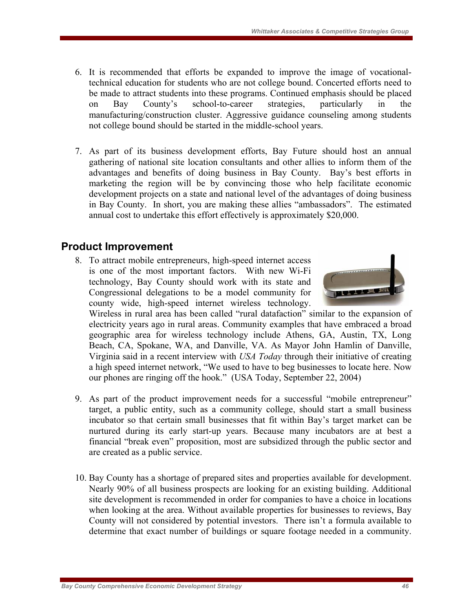- 6. It is recommended that efforts be expanded to improve the image of vocationaltechnical education for students who are not college bound. Concerted efforts need to be made to attract students into these programs. Continued emphasis should be placed on Bay County's school-to-career strategies, particularly in the manufacturing/construction cluster. Aggressive guidance counseling among students not college bound should be started in the middle-school years.
- 7. As part of its business development efforts, Bay Future should host an annual gathering of national site location consultants and other allies to inform them of the advantages and benefits of doing business in Bay County. Bay's best efforts in marketing the region will be by convincing those who help facilitate economic development projects on a state and national level of the advantages of doing business in Bay County. In short, you are making these allies "ambassadors". The estimated annual cost to undertake this effort effectively is approximately \$20,000.

## **Product Improvement**

8. To attract mobile entrepreneurs, high-speed internet access is one of the most important factors. With new Wi-Fi technology, Bay County should work with its state and Congressional delegations to be a model community for county wide, high-speed internet wireless technology.



Wireless in rural area has been called "rural datafaction" similar to the expansion of electricity years ago in rural areas. Community examples that have embraced a broad geographic area for wireless technology include Athens, GA, Austin, TX, Long Beach, CA, Spokane, WA, and Danville, VA. As Mayor John Hamlin of Danville, Virginia said in a recent interview with *USA Today* through their initiative of creating a high speed internet network, "We used to have to beg businesses to locate here. Now our phones are ringing off the hook." (USA Today, September 22, 2004)

- 9. As part of the product improvement needs for a successful "mobile entrepreneur" target, a public entity, such as a community college, should start a small business incubator so that certain small businesses that fit within Bay's target market can be nurtured during its early start-up years. Because many incubators are at best a financial "break even" proposition, most are subsidized through the public sector and are created as a public service.
- 10. Bay County has a shortage of prepared sites and properties available for development. Nearly 90% of all business prospects are looking for an existing building. Additional site development is recommended in order for companies to have a choice in locations when looking at the area. Without available properties for businesses to reviews, Bay County will not considered by potential investors. There isn't a formula available to determine that exact number of buildings or square footage needed in a community.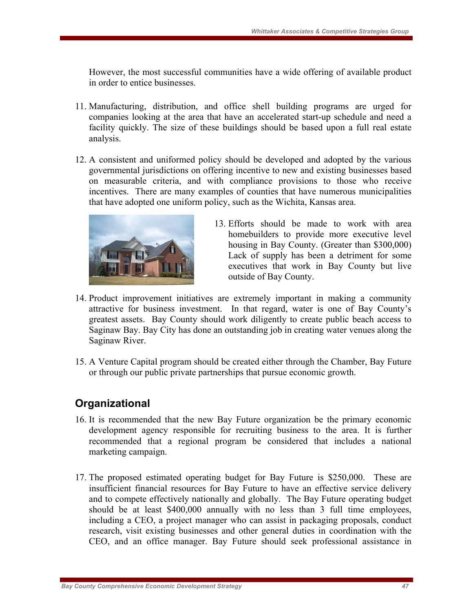However, the most successful communities have a wide offering of available product in order to entice businesses.

- 11. Manufacturing, distribution, and office shell building programs are urged for companies looking at the area that have an accelerated start-up schedule and need a facility quickly. The size of these buildings should be based upon a full real estate analysis.
- 12. A consistent and uniformed policy should be developed and adopted by the various governmental jurisdictions on offering incentive to new and existing businesses based on measurable criteria, and with compliance provisions to those who receive incentives. There are many examples of counties that have numerous municipalities that have adopted one uniform policy, such as the Wichita, Kansas area.



- 13. Efforts should be made to work with area homebuilders to provide more executive level housing in Bay County. (Greater than \$300,000) Lack of supply has been a detriment for some executives that work in Bay County but live outside of Bay County.
- 14. Product improvement initiatives are extremely important in making a community attractive for business investment. In that regard, water is one of Bay County's greatest assets. Bay County should work diligently to create public beach access to Saginaw Bay. Bay City has done an outstanding job in creating water venues along the Saginaw River.
- 15. A Venture Capital program should be created either through the Chamber, Bay Future or through our public private partnerships that pursue economic growth.

# **Organizational**

- 16. It is recommended that the new Bay Future organization be the primary economic development agency responsible for recruiting business to the area. It is further recommended that a regional program be considered that includes a national marketing campaign.
- 17. The proposed estimated operating budget for Bay Future is \$250,000. These are insufficient financial resources for Bay Future to have an effective service delivery and to compete effectively nationally and globally. The Bay Future operating budget should be at least \$400,000 annually with no less than 3 full time employees, including a CEO, a project manager who can assist in packaging proposals, conduct research, visit existing businesses and other general duties in coordination with the CEO, and an office manager. Bay Future should seek professional assistance in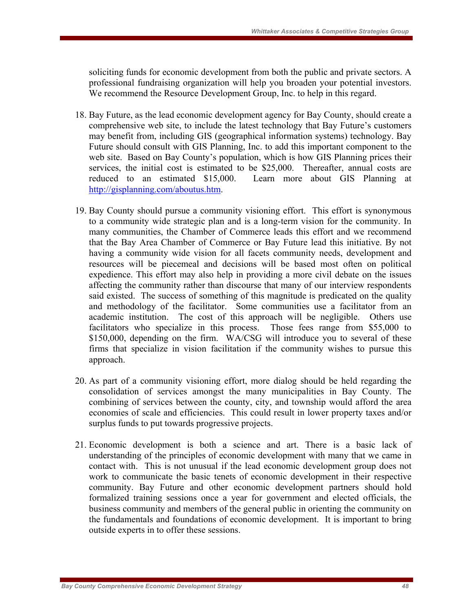soliciting funds for economic development from both the public and private sectors. A professional fundraising organization will help you broaden your potential investors. We recommend the Resource Development Group, Inc. to help in this regard.

- 18. Bay Future, as the lead economic development agency for Bay County, should create a comprehensive web site, to include the latest technology that Bay Future's customers may benefit from, including GIS (geographical information systems) technology. Bay Future should consult with GIS Planning, Inc. to add this important component to the web site. Based on Bay County's population, which is how GIS Planning prices their services, the initial cost is estimated to be \$25,000. Thereafter, annual costs are reduced to an estimated \$15,000. Learn more about GIS Planning at http://gisplanning.com/aboutus.htm.
- 19. Bay County should pursue a community visioning effort. This effort is synonymous to a community wide strategic plan and is a long-term vision for the community. In many communities, the Chamber of Commerce leads this effort and we recommend that the Bay Area Chamber of Commerce or Bay Future lead this initiative. By not having a community wide vision for all facets community needs, development and resources will be piecemeal and decisions will be based most often on political expedience. This effort may also help in providing a more civil debate on the issues affecting the community rather than discourse that many of our interview respondents said existed. The success of something of this magnitude is predicated on the quality and methodology of the facilitator. Some communities use a facilitator from an academic institution. The cost of this approach will be negligible. Others use facilitators who specialize in this process. Those fees range from \$55,000 to \$150,000, depending on the firm. WA/CSG will introduce you to several of these firms that specialize in vision facilitation if the community wishes to pursue this approach.
- 20. As part of a community visioning effort, more dialog should be held regarding the consolidation of services amongst the many municipalities in Bay County. The combining of services between the county, city, and township would afford the area economies of scale and efficiencies. This could result in lower property taxes and/or surplus funds to put towards progressive projects.
- 21. Economic development is both a science and art. There is a basic lack of understanding of the principles of economic development with many that we came in contact with. This is not unusual if the lead economic development group does not work to communicate the basic tenets of economic development in their respective community. Bay Future and other economic development partners should hold formalized training sessions once a year for government and elected officials, the business community and members of the general public in orienting the community on the fundamentals and foundations of economic development. It is important to bring outside experts in to offer these sessions.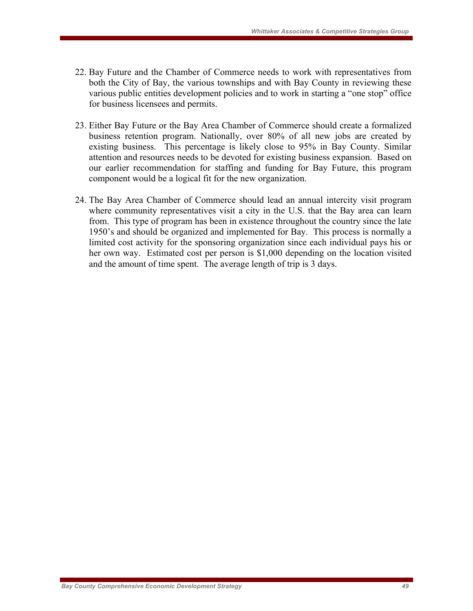- 22. Bay Future and the Chamber of Commerce needs to work with representatives from both the City of Bay, the various townships and with Bay County in reviewing these various public entities development policies and to work in starting a "one stop" office for business licensees and permits.
- 23. Either Bay Future or the Bay Area Chamber of Commerce should create a formalized business retention program. Nationally, over 80% of all new jobs are created by existing business. This percentage is likely close to 95% in Bay County. Similar attention and resources needs to be devoted for existing business expansion. Based on our earlier recommendation for staffing and funding for Bay Future, this program component would be a logical fit for the new organization.
- 24. The Bay Area Chamber of Commerce should lead an annual intercity visit program where community representatives visit a city in the U.S. that the Bay area can learn from. This type of program has been in existence throughout the country since the late 1950's and should be organized and implemented for Bay. This process is normally a limited cost activity for the sponsoring organization since each individual pays his or her own way. Estimated cost per person is \$1,000 depending on the location visited and the amount of time spent. The average length of trip is 3 days.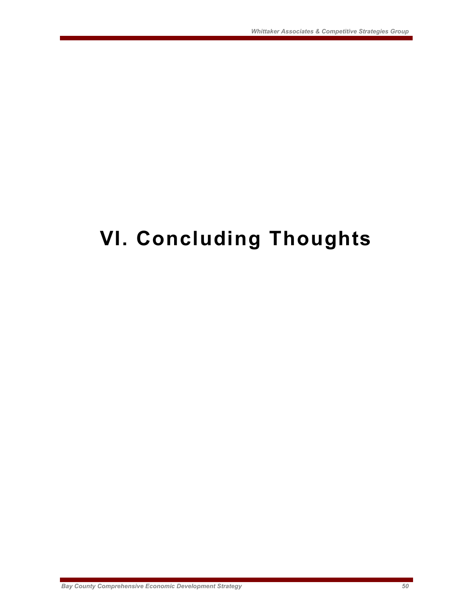# **VI. Concluding Thoughts**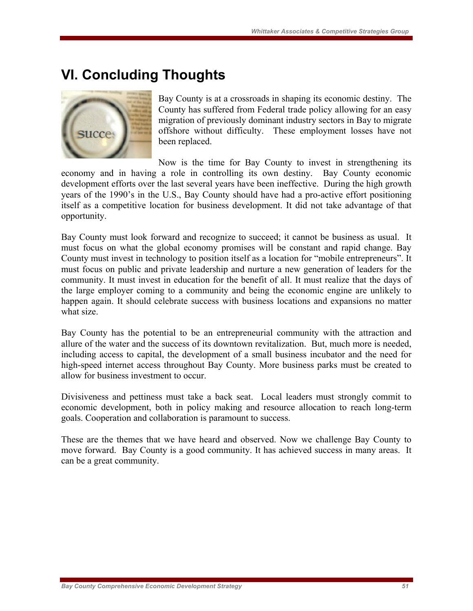# **VI. Concluding Thoughts**



Bay County is at a crossroads in shaping its economic destiny. The County has suffered from Federal trade policy allowing for an easy migration of previously dominant industry sectors in Bay to migrate offshore without difficulty. These employment losses have not been replaced.

Now is the time for Bay County to invest in strengthening its economy and in having a role in controlling its own destiny. Bay County economic development efforts over the last several years have been ineffective. During the high growth years of the 1990's in the U.S., Bay County should have had a pro-active effort positioning itself as a competitive location for business development. It did not take advantage of that opportunity.

Bay County must look forward and recognize to succeed; it cannot be business as usual. It must focus on what the global economy promises will be constant and rapid change. Bay County must invest in technology to position itself as a location for "mobile entrepreneurs". It must focus on public and private leadership and nurture a new generation of leaders for the community. It must invest in education for the benefit of all. It must realize that the days of the large employer coming to a community and being the economic engine are unlikely to happen again. It should celebrate success with business locations and expansions no matter what size.

Bay County has the potential to be an entrepreneurial community with the attraction and allure of the water and the success of its downtown revitalization. But, much more is needed, including access to capital, the development of a small business incubator and the need for high-speed internet access throughout Bay County. More business parks must be created to allow for business investment to occur.

Divisiveness and pettiness must take a back seat. Local leaders must strongly commit to economic development, both in policy making and resource allocation to reach long-term goals. Cooperation and collaboration is paramount to success.

These are the themes that we have heard and observed. Now we challenge Bay County to move forward. Bay County is a good community. It has achieved success in many areas. It can be a great community.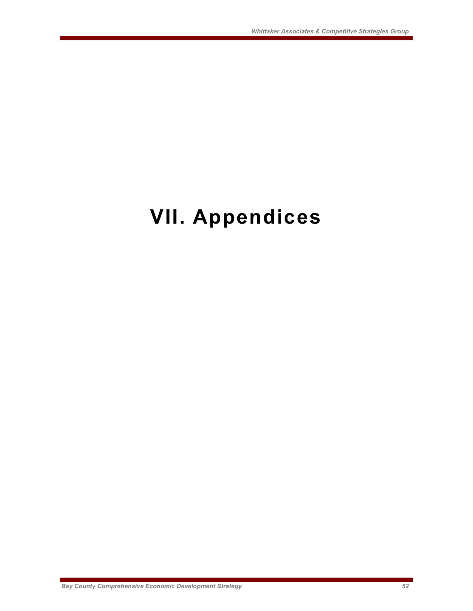# **VII. Appendices**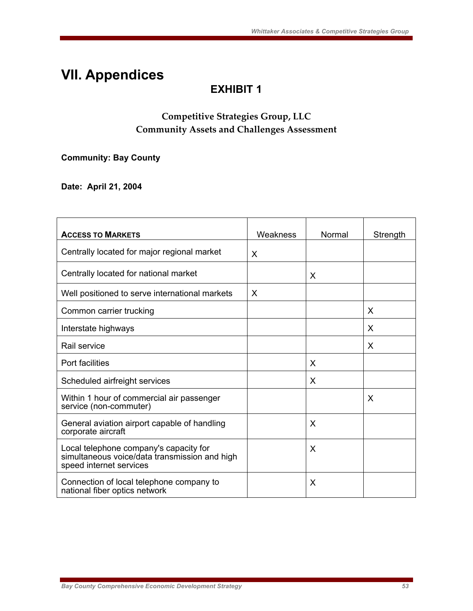# **VII. Appendices**

# **EXHIBIT 1**

## **Competitive Strategies Group, LLC Community Assets and Challenges Assessment**

**Community: Bay County** 

**Date: April 21, 2004** 

| <b>ACCESS TO MARKETS</b>                                                                                           | Weakness | Normal | Strength |
|--------------------------------------------------------------------------------------------------------------------|----------|--------|----------|
| Centrally located for major regional market                                                                        | X        |        |          |
| Centrally located for national market                                                                              |          | X      |          |
| Well positioned to serve international markets                                                                     | X        |        |          |
| Common carrier trucking                                                                                            |          |        | X        |
| Interstate highways                                                                                                |          |        | X        |
| Rail service                                                                                                       |          |        | X        |
| Port facilities                                                                                                    |          | X      |          |
| Scheduled airfreight services                                                                                      |          | X      |          |
| Within 1 hour of commercial air passenger<br>service (non-commuter)                                                |          |        | X        |
| General aviation airport capable of handling<br>corporate aircraft                                                 |          | X      |          |
| Local telephone company's capacity for<br>simultaneous voice/data transmission and high<br>speed internet services |          | X      |          |
| Connection of local telephone company to<br>national fiber optics network                                          |          | X      |          |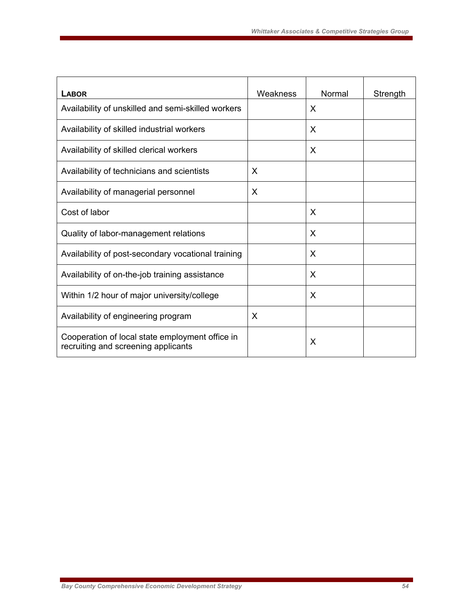| <b>LABOR</b>                                                                           | Weakness | Normal | Strength |
|----------------------------------------------------------------------------------------|----------|--------|----------|
| Availability of unskilled and semi-skilled workers                                     |          | X      |          |
| Availability of skilled industrial workers                                             |          | X      |          |
| Availability of skilled clerical workers                                               |          | X      |          |
| Availability of technicians and scientists                                             | X        |        |          |
| Availability of managerial personnel                                                   | X        |        |          |
| Cost of labor                                                                          |          | X      |          |
| Quality of labor-management relations                                                  |          | X      |          |
| Availability of post-secondary vocational training                                     |          | X      |          |
| Availability of on-the-job training assistance                                         |          | X      |          |
| Within 1/2 hour of major university/college                                            |          | X      |          |
| Availability of engineering program                                                    | X        |        |          |
| Cooperation of local state employment office in<br>recruiting and screening applicants |          | X      |          |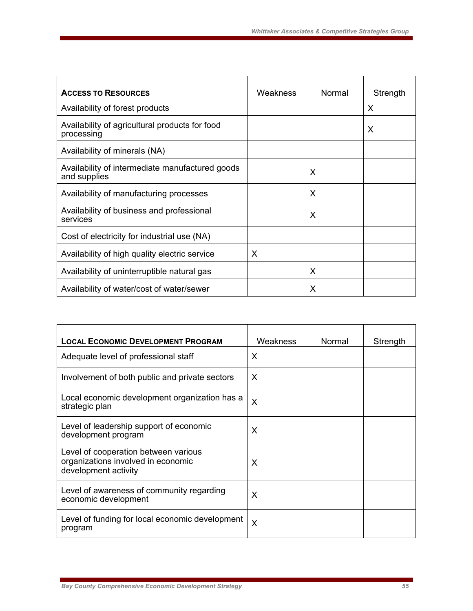| <b>ACCESS TO RESOURCES</b>                                      | Weakness | Normal | Strength |
|-----------------------------------------------------------------|----------|--------|----------|
| Availability of forest products                                 |          |        | X        |
| Availability of agricultural products for food<br>processing    |          |        | X        |
| Availability of minerals (NA)                                   |          |        |          |
| Availability of intermediate manufactured goods<br>and supplies |          | X      |          |
| Availability of manufacturing processes                         | X        |        |          |
| Availability of business and professional<br>X<br>services      |          |        |          |
| Cost of electricity for industrial use (NA)                     |          |        |          |
| Availability of high quality electric service<br>X              |          |        |          |
| Availability of uninterruptible natural gas<br>X                |          |        |          |
| X<br>Availability of water/cost of water/sewer                  |          |        |          |

| <b>LOCAL ECONOMIC DEVELOPMENT PROGRAM</b>                                                          | Weakness | Normal | Strength |
|----------------------------------------------------------------------------------------------------|----------|--------|----------|
| Adequate level of professional staff                                                               | X        |        |          |
| Involvement of both public and private sectors                                                     | X        |        |          |
| Local economic development organization has a<br>strategic plan                                    | X        |        |          |
| Level of leadership support of economic<br>development program                                     | X        |        |          |
| Level of cooperation between various<br>organizations involved in economic<br>development activity | X        |        |          |
| Level of awareness of community regarding<br>economic development                                  | X        |        |          |
| Level of funding for local economic development<br>program                                         | X        |        |          |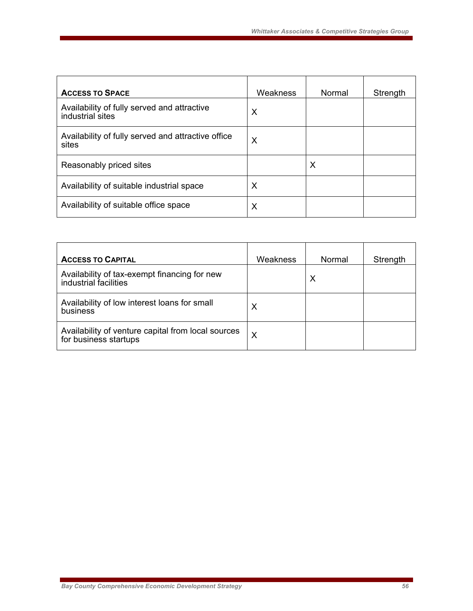| <b>ACCESS TO SPACE</b>                                          | Weakness | Normal | Strength |
|-----------------------------------------------------------------|----------|--------|----------|
| Availability of fully served and attractive<br>industrial sites | X        |        |          |
| Availability of fully served and attractive office<br>sites     | X        |        |          |
| Reasonably priced sites                                         |          | Х      |          |
| Availability of suitable industrial space                       | X        |        |          |
| Availability of suitable office space                           | X        |        |          |

| <b>ACCESS TO CAPITAL</b>                                                    | Weakness | Normal | Strength |
|-----------------------------------------------------------------------------|----------|--------|----------|
| Availability of tax-exempt financing for new<br>industrial facilities       |          | Х      |          |
| Availability of low interest loans for small<br>business                    | Х        |        |          |
| Availability of venture capital from local sources<br>for business startups | X        |        |          |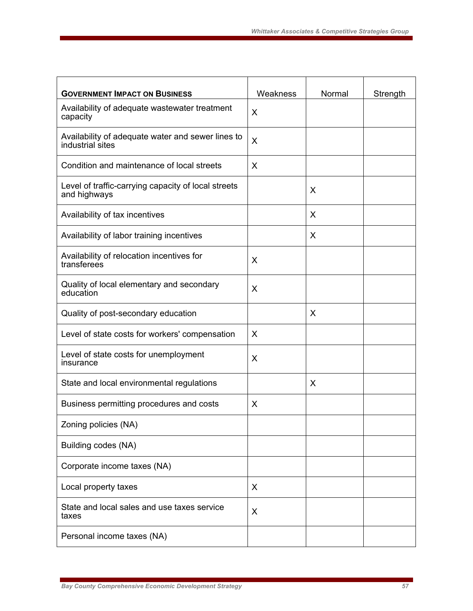| <b>GOVERNMENT IMPACT ON BUSINESS</b>                                  | Weakness | Normal | Strength |
|-----------------------------------------------------------------------|----------|--------|----------|
| Availability of adequate wastewater treatment<br>capacity             | X        |        |          |
| Availability of adequate water and sewer lines to<br>industrial sites | X        |        |          |
| Condition and maintenance of local streets                            | X        |        |          |
| Level of traffic-carrying capacity of local streets<br>and highways   |          | X      |          |
| Availability of tax incentives                                        |          | X      |          |
| Availability of labor training incentives                             |          | X      |          |
| Availability of relocation incentives for<br>transferees              | X        |        |          |
| Quality of local elementary and secondary<br>education                | X        |        |          |
| Quality of post-secondary education                                   |          | X      |          |
| Level of state costs for workers' compensation                        | X        |        |          |
| Level of state costs for unemployment<br>insurance                    | X        |        |          |
| State and local environmental regulations                             |          | X      |          |
| Business permitting procedures and costs                              | X        |        |          |
| Zoning policies (NA)                                                  |          |        |          |
| Building codes (NA)                                                   |          |        |          |
| Corporate income taxes (NA)                                           |          |        |          |
| Local property taxes                                                  | X        |        |          |
| State and local sales and use taxes service<br>taxes                  | X        |        |          |
| Personal income taxes (NA)                                            |          |        |          |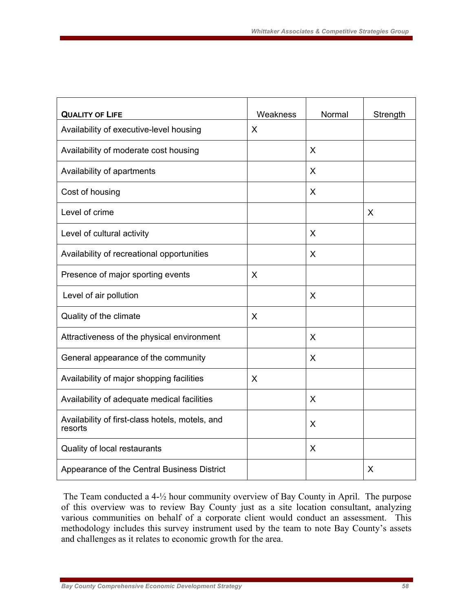| <b>QUALITY OF LIFE</b>                                     | Weakness | Normal | Strength |
|------------------------------------------------------------|----------|--------|----------|
| Availability of executive-level housing                    | X        |        |          |
| Availability of moderate cost housing                      |          | X      |          |
| Availability of apartments                                 |          | X      |          |
| Cost of housing                                            |          | X      |          |
| Level of crime                                             |          |        | X        |
| Level of cultural activity                                 |          | X      |          |
| Availability of recreational opportunities                 |          | X      |          |
| Presence of major sporting events                          | X        |        |          |
| Level of air pollution                                     |          | X      |          |
| Quality of the climate                                     | X        |        |          |
| Attractiveness of the physical environment                 |          | X      |          |
| General appearance of the community                        |          | X      |          |
| Availability of major shopping facilities                  | X        |        |          |
| Availability of adequate medical facilities                |          | X      |          |
| Availability of first-class hotels, motels, and<br>resorts |          | X      |          |
| Quality of local restaurants                               |          | X      |          |
| Appearance of the Central Business District                |          |        | X        |

 The Team conducted a 4-½ hour community overview of Bay County in April. The purpose of this overview was to review Bay County just as a site location consultant, analyzing various communities on behalf of a corporate client would conduct an assessment. This methodology includes this survey instrument used by the team to note Bay County's assets and challenges as it relates to economic growth for the area.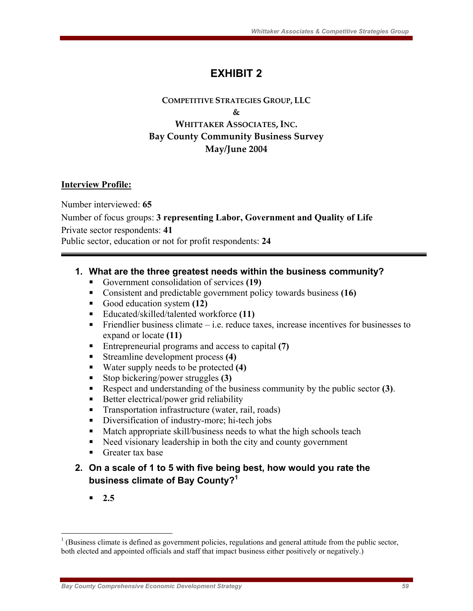# **EXHIBIT 2**

#### **COMPETITIVE STRATEGIES GROUP, LLC & WHITTAKER ASSOCIATES, INC. Bay County Community Business Survey May/June 2004**

#### **Interview Profile:**

Number interviewed: **65**  Number of focus groups: **3 representing Labor, Government and Quality of Life**  Private sector respondents: **41**  Public sector, education or not for profit respondents: **24** 

#### **1. What are the three greatest needs within the business community?**

- Government consolidation of services **(19)**
- Consistent and predictable government policy towards business **(16)**
- Good education system **(12)**
- Educated/skilled/talented workforce (11)
- Friendlier business climate  $-$  i.e. reduce taxes, increase incentives for businesses to expand or locate **(11)**
- Entrepreneurial programs and access to capital (7)
- Streamline development process **(4)**
- Water supply needs to be protected **(4)**
- Stop bickering/power struggles **(3)**
- Respect and understanding of the business community by the public sector **(3)**.
- Better electrical/power grid reliability
- Transportation infrastructure (water, rail, roads)
- Diversification of industry-more; hi-tech jobs
- **Match appropriate skill/business needs to what the high schools teach**
- Need visionary leadership in both the city and county government
- **Greater tax base**

### **2. On a scale of 1 to 5 with five being best, how would you rate the business climate of Bay County?<sup>1</sup>**

**2.5**

 $\overline{a}$ 

 $1$ <sup>1</sup> (Business climate is defined as government policies, regulations and general attitude from the public sector, both elected and appointed officials and staff that impact business either positively or negatively.)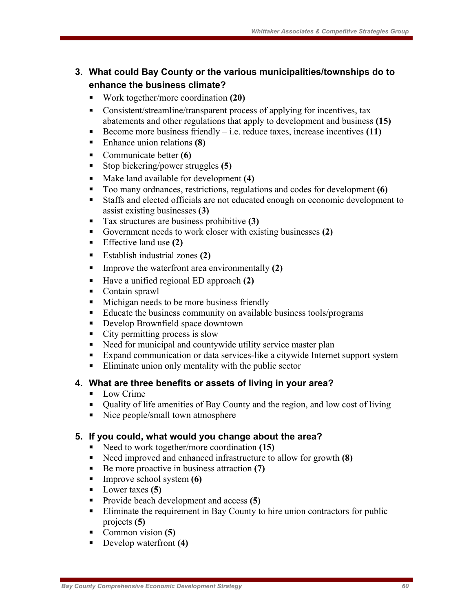### **3. What could Bay County or the various municipalities/townships do to enhance the business climate?**

- Work together/more coordination **(20)**
- Consistent/streamline/transparent process of applying for incentives, tax abatements and other regulations that apply to development and business **(15)**
- Become more business friendly  $-$  i.e. reduce taxes, increase incentives  $(11)$
- Enhance union relations **(8)**
- Communicate better **(6)**
- Stop bickering/power struggles **(5)**
- Make land available for development **(4)**
- Too many ordnances, restrictions, regulations and codes for development **(6)**
- Staffs and elected officials are not educated enough on economic development to assist existing businesses **(3)**
- Tax structures are business prohibitive **(3)**
- Government needs to work closer with existing businesses **(2)**
- Effective land use **(2)**
- Establish industrial zones **(2)**
- Improve the waterfront area environmentally **(2)**
- Have a unified regional ED approach **(2)**
- Contain sprawl
- Michigan needs to be more business friendly
- Educate the business community on available business tools/programs
- Develop Brownfield space downtown
- City permitting process is slow
- Need for municipal and countywide utility service master plan
- Expand communication or data services-like a citywide Internet support system
- Eliminate union only mentality with the public sector

#### **4. What are three benefits or assets of living in your area?**

- **Low Crime**
- Quality of life amenities of Bay County and the region, and low cost of living
- Nice people/small town atmosphere

#### **5. If you could, what would you change about the area?**

- Need to work together/more coordination **(15)**
- Need improved and enhanced infrastructure to allow for growth **(8)**
- Be more proactive in business attraction **(7)**
- Improve school system **(6)**
- Lower taxes **(5)**
- Provide beach development and access **(5)**
- **Eliminate the requirement in Bay County to hire union contractors for public** projects **(5)**
- Common vision **(5)**
- Develop waterfront **(4)**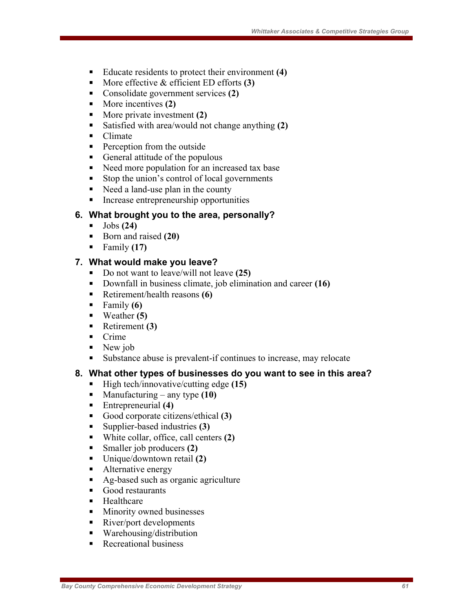- Educate residents to protect their environment **(4)**
- More effective & efficient ED efforts **(3)**
- Consolidate government services **(2)**
- More incentives **(2)**
- More private investment **(2)**
- Satisfied with area/would not change anything **(2)**
- Climate
- **Perception from the outside**
- General attitude of the populous
- Need more population for an increased tax base
- Stop the union's control of local governments
- Need a land-use plan in the county
- Increase entrepreneurship opportunities

#### **6. What brought you to the area, personally?**

- Jobs **(24)**
- Born and raised **(20)**
- $\blacksquare$  Family (17)

#### **7. What would make you leave?**

- Do not want to leave/will not leave (25)
- Downfall in business climate, job elimination and career **(16)**
- Retirement/health reasons **(6)**
- $\blacksquare$  Family **(6)**
- Weather **(5)**
- Retirement **(3)**
- Crime
- $\blacksquare$  New job
- Substance abuse is prevalent-if continues to increase, may relocate

#### **8. What other types of businesses do you want to see in this area?**

- High tech/innovative/cutting edge (15)
- Manufacturing any type (10)
- Entrepreneurial **(4)**
- Good corporate citizens/ethical **(3)**
- Supplier-based industries **(3)**
- White collar, office, call centers **(2)**
- Smaller job producers **(2)**
- Unique/downtown retail **(2)**
- Alternative energy
- Ag-based such as organic agriculture
- Good restaurants
- **Healthcare**
- **Minority owned businesses**
- River/port developments
- Warehousing/distribution
- **Recreational business**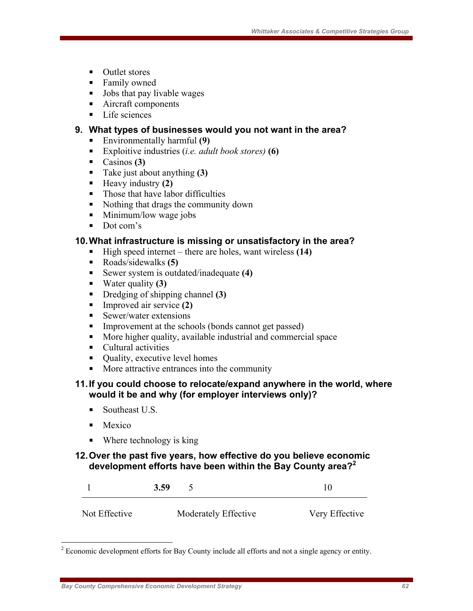- Outlet stores
- **Family owned**
- Jobs that pay livable wages
- Aircraft components
- Life sciences

#### **9. What types of businesses would you not want in the area?**

- Environmentally harmful **(9)**
- Exploitive industries (*i.e. adult book stores)* **(6)**
- Casinos **(3)**
- Take just about anything **(3)**
- Heavy industry **(2)**
- Those that have labor difficulties
- Nothing that drags the community down
- **Minimum/low wage jobs**
- Dot com's

#### **10. What infrastructure is missing or unsatisfactory in the area?**

- High speed internet there are holes, want wireless (14)
- Roads/sidewalks **(5)**
- Sewer system is outdated/inadequate **(4)**
- Water quality **(3)**
- Dredging of shipping channel **(3)**
- Improved air service **(2)**
- $\blacksquare$  Sewer/water extensions
- Improvement at the schools (bonds cannot get passed)
- More higher quality, available industrial and commercial space
- Cultural activities
- $\blacksquare$  Quality, executive level homes
- More attractive entrances into the community

#### **11. If you could choose to relocate/expand anywhere in the world, where would it be and why (for employer interviews only)?**

- Southeast U.S.
- Mexico

 $\overline{a}$ 

■ Where technology is king

#### **12. Over the past five years, how effective do you believe economic development efforts have been within the Bay County area?<sup>2</sup>**

|               | 3.59                 | 10             |
|---------------|----------------------|----------------|
| Not Effective | Moderately Effective | Very Effective |

 $2^2$  Economic development efforts for Bay County include all efforts and not a single agency or entity.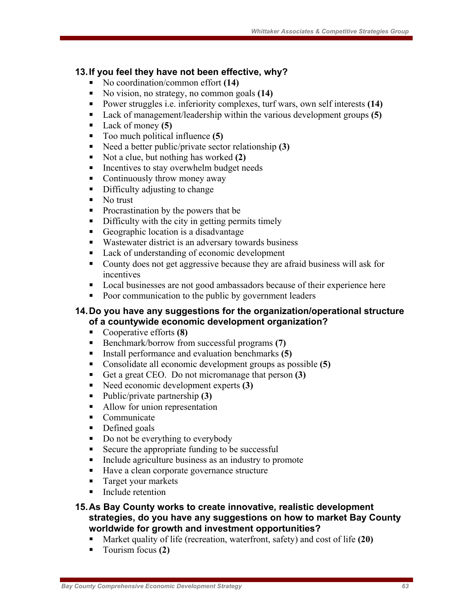#### **13. If you feel they have not been effective, why?**

- No coordination/common effort **(14)**
- No vision, no strategy, no common goals **(14)**
- Power struggles i.e. inferiority complexes, turf wars, own self interests **(14)**
- Lack of management/leadership within the various development groups **(5)**
- Lack of money **(5)**
- Too much political influence **(5)**
- Need a better public/private sector relationship **(3)**
- Not a clue, but nothing has worked **(2)**
- Incentives to stay overwhelm budget needs
- Continuously throw money away
- Difficulty adjusting to change
- $\blacksquare$  No trust
- Procrastination by the powers that be
- Difficulty with the city in getting permits timely
- Geographic location is a disadvantage
- Wastewater district is an adversary towards business
- Lack of understanding of economic development
- County does not get aggressive because they are afraid business will ask for incentives
- Local businesses are not good ambassadors because of their experience here
- Poor communication to the public by government leaders

#### **14. Do you have any suggestions for the organization/operational structure of a countywide economic development organization?**

- Cooperative efforts **(8)**
- Benchmark/borrow from successful programs (7)
- Install performance and evaluation benchmarks **(5)**
- Consolidate all economic development groups as possible **(5)**
- Get a great CEO. Do not micromanage that person **(3)**
- Need economic development experts **(3)**
- Public/private partnership **(3)**
- Allow for union representation
- Communicate
- Defined goals
- Do not be everything to everybody
- Secure the appropriate funding to be successful
- Include agriculture business as an industry to promote
- Have a clean corporate governance structure
- **Target your markets**
- Include retention
- **15. As Bay County works to create innovative, realistic development strategies, do you have any suggestions on how to market Bay County worldwide for growth and investment opportunities?** 
	- Market quality of life (recreation, waterfront, safety) and cost of life **(20)**
	- Tourism focus **(2)**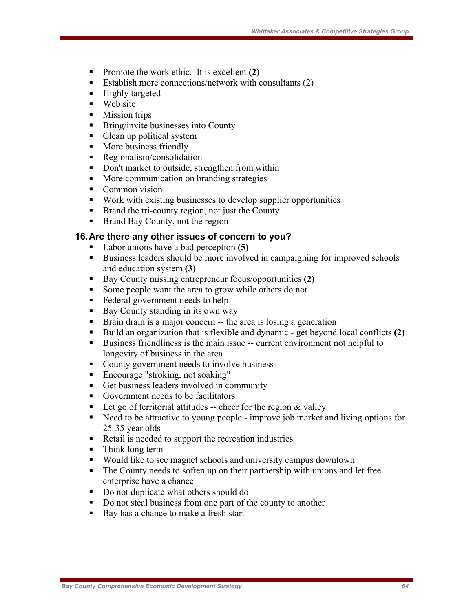- Promote the work ethic. It is excellent **(2)**
- Establish more connections/network with consultants  $(2)$
- $\blacksquare$  Highly targeted
- $\blacksquare$  Web site
- **Mission trips**
- **Bring/invite businesses into County**
- Clean up political system
- More business friendly
- **Regionalism/consolidation**
- Don't market to outside, strengthen from within
- More communication on branding strategies
- Common vision
- Work with existing businesses to develop supplier opportunities
- Brand the tri-county region, not just the County
- Brand Bay County, not the region

#### **16. Are there any other issues of concern to you?**

- Labor unions have a bad perception **(5)**
- Business leaders should be more involved in campaigning for improved schools and education system **(3)**
- Bay County missing entrepreneur focus/opportunities **(2)**
- Some people want the area to grow while others do not
- Federal government needs to help
- $\blacksquare$  Bay County standing in its own way
- Brain drain is a major concern -- the area is losing a generation
- Build an organization that is flexible and dynamic get beyond local conflicts **(2)**
- Business friendliness is the main issue -- current environment not helpful to longevity of business in the area
- County government needs to involve business
- Encourage "stroking, not soaking"
- Get business leaders involved in community
- Government needs to be facilitators
- Let go of territorial attitudes -- cheer for the region  $&$  valley
- Need to be attractive to young people improve job market and living options for 25-35 year olds
- Retail is needed to support the recreation industries
- Think long term
- Would like to see magnet schools and university campus downtown
- The County needs to soften up on their partnership with unions and let free enterprise have a chance
- Do not duplicate what others should do
- Do not steal business from one part of the county to another
- Bay has a chance to make a fresh start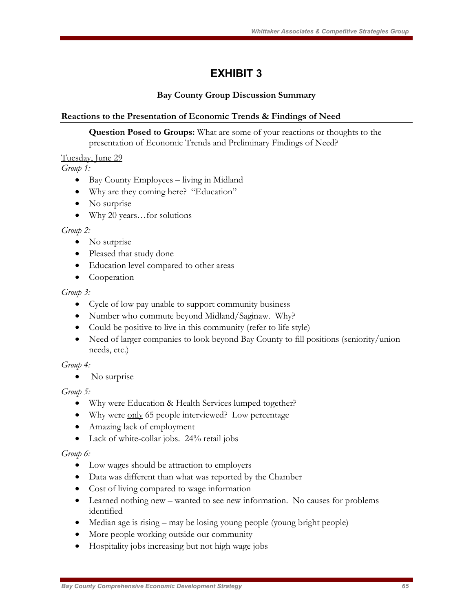# **EXHIBIT 3**

#### **Bay County Group Discussion Summary**

#### **Reactions to the Presentation of Economic Trends & Findings of Need**

**Question Posed to Groups:** What are some of your reactions or thoughts to the presentation of Economic Trends and Preliminary Findings of Need?

#### Tuesday, June 29

*Group 1:*

- Bay County Employees living in Midland
- Why are they coming here? "Education"
- No surprise
- Why 20 years…for solutions

#### *Group 2:*

- No surprise
- Pleased that study done
- Education level compared to other areas
- Cooperation

#### *Group 3:*

- Cycle of low pay unable to support community business
- Number who commute beyond Midland/Saginaw. Why?
- Could be positive to live in this community (refer to life style)
- Need of larger companies to look beyond Bay County to fill positions (seniority/union needs, etc.)

#### *Group 4:*

• No surprise

#### *Group 5:*

- Why were Education & Health Services lumped together?
- Why were only 65 people interviewed? Low percentage
- Amazing lack of employment
- Lack of white-collar jobs. 24% retail jobs

#### *Group 6:*

- Low wages should be attraction to employers
- Data was different than what was reported by the Chamber
- Cost of living compared to wage information
- Learned nothing new wanted to see new information. No causes for problems identified
- Median age is rising may be losing young people (young bright people)
- More people working outside our community
- Hospitality jobs increasing but not high wage jobs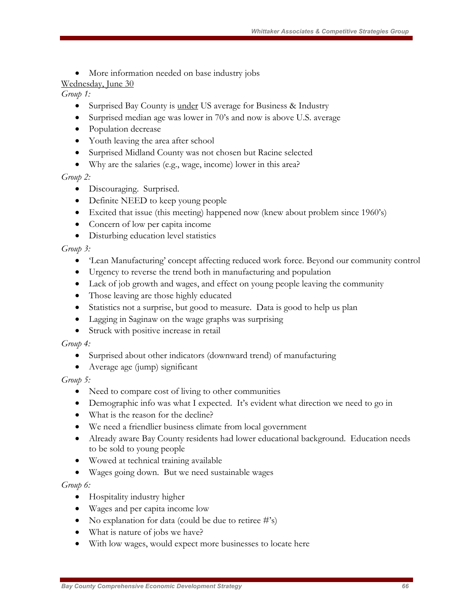• More information needed on base industry jobs

#### Wednesday, June 30

#### *Group 1:*

- Surprised Bay County is <u>under</u> US average for Business & Industry
- Surprised median age was lower in 70's and now is above U.S. average
- Population decrease
- Youth leaving the area after school
- Surprised Midland County was not chosen but Racine selected
- Why are the salaries (e.g., wage, income) lower in this area?

#### *Group 2:*

- Discouraging. Surprised.
- Definite NEED to keep young people
- Excited that issue (this meeting) happened now (knew about problem since 1960's)
- Concern of low per capita income
- Disturbing education level statistics

#### *Group 3:*

- 'Lean Manufacturing' concept affecting reduced work force. Beyond our community control
- Urgency to reverse the trend both in manufacturing and population
- Lack of job growth and wages, and effect on young people leaving the community
- Those leaving are those highly educated
- Statistics not a surprise, but good to measure. Data is good to help us plan
- Lagging in Saginaw on the wage graphs was surprising
- Struck with positive increase in retail

#### *Group 4:*

- Surprised about other indicators (downward trend) of manufacturing
- Average age (jump) significant

#### *Group 5:*

- Need to compare cost of living to other communities
- Demographic info was what I expected. It's evident what direction we need to go in
- What is the reason for the decline?
- We need a friendlier business climate from local government
- Already aware Bay County residents had lower educational background. Education needs to be sold to young people
- Wowed at technical training available
- Wages going down. But we need sustainable wages

#### *Group 6:*

- Hospitality industry higher
- Wages and per capita income low
- No explanation for data (could be due to retiree  $\#$ 's)
- What is nature of jobs we have?
- With low wages, would expect more businesses to locate here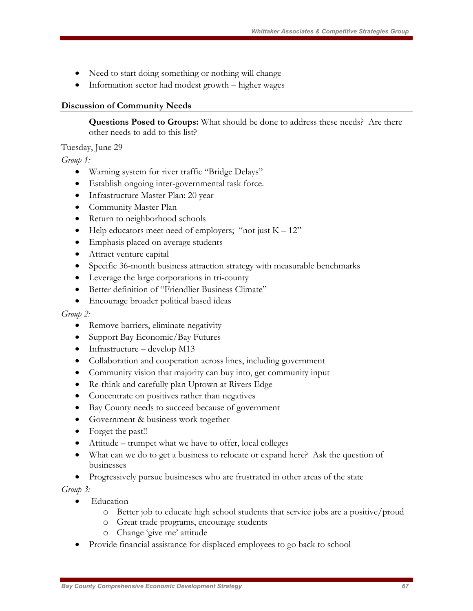- Need to start doing something or nothing will change
- Information sector had modest growth higher wages

#### **Discussion of Community Needs**

**Questions Posed to Groups:** What should be done to address these needs? Are there other needs to add to this list?

#### Tuesday, June 29

*Group 1:* 

- Warning system for river traffic "Bridge Delays"
- Establish ongoing inter-governmental task force.
- Infrastructure Master Plan: 20 year
- Community Master Plan
- Return to neighborhood schools
- Help educators meet need of employers; "not just  $K 12$ "
- Emphasis placed on average students
- Attract venture capital
- Specific 36-month business attraction strategy with measurable benchmarks
- Leverage the large corporations in tri-county
- Better definition of "Friendlier Business Climate"
- Encourage broader political based ideas

#### *Group 2:*

- Remove barriers, eliminate negativity
- Support Bay Economic/Bay Futures
- Infrastructure develop M13
- Collaboration and cooperation across lines, including government
- Community vision that majority can buy into, get community input
- Re-think and carefully plan Uptown at Rivers Edge
- Concentrate on positives rather than negatives
- Bay County needs to succeed because of government
- Government & business work together
- Forget the past!!
- Attitude trumpet what we have to offer, local colleges
- What can we do to get a business to relocate or expand here? Ask the question of businesses
- Progressively pursue businesses who are frustrated in other areas of the state

*Group 3:* 

- Education
	- o Better job to educate high school students that service jobs are a positive/proud
	- o Great trade programs, encourage students
	- o Change 'give me' attitude
- Provide financial assistance for displaced employees to go back to school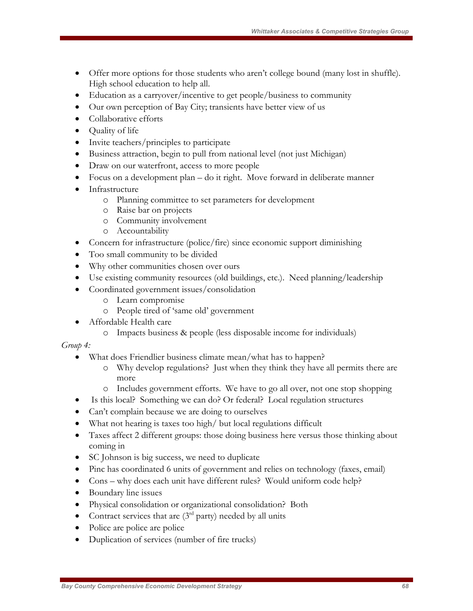- Offer more options for those students who aren't college bound (many lost in shuffle). High school education to help all.
- Education as a carryover/incentive to get people/business to community
- Our own perception of Bay City; transients have better view of us
- Collaborative efforts
- Quality of life
- Invite teachers/principles to participate
- Business attraction, begin to pull from national level (not just Michigan)
- Draw on our waterfront, access to more people
- Focus on a development plan do it right. Move forward in deliberate manner
- Infrastructure
	- o Planning committee to set parameters for development
		- o Raise bar on projects
		- o Community involvement
		- o Accountability
- Concern for infrastructure (police/fire) since economic support diminishing
- Too small community to be divided
- Why other communities chosen over ours
- Use existing community resources (old buildings, etc.). Need planning/leadership
- Coordinated government issues/consolidation
	- o Learn compromise
	- o People tired of 'same old' government
- Affordable Health care
	- o Impacts business & people (less disposable income for individuals)

#### *Group 4:*

- What does Friendlier business climate mean/what has to happen?
	- o Why develop regulations? Just when they think they have all permits there are more
	- o Includes government efforts. We have to go all over, not one stop shopping
- Is this local? Something we can do? Or federal? Local regulation structures
- Can't complain because we are doing to ourselves
- What not hearing is taxes too high/ but local regulations difficult
- Taxes affect 2 different groups: those doing business here versus those thinking about coming in
- SC Johnson is big success, we need to duplicate
- Pinc has coordinated 6 units of government and relies on technology (faxes, email)
- Cons why does each unit have different rules? Would uniform code help?
- Boundary line issues
- Physical consolidation or organizational consolidation? Both
- Contract services that are  $(3<sup>rd</sup>$  party) needed by all units
- Police are police are police
- Duplication of services (number of fire trucks)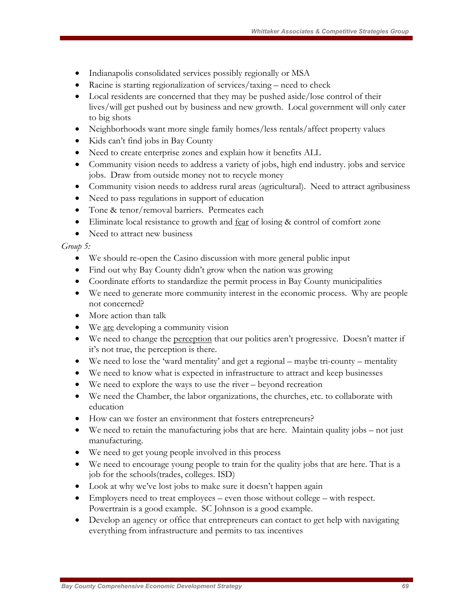- Indianapolis consolidated services possibly regionally or MSA
- Racine is starting regionalization of services/taxing need to check
- Local residents are concerned that they may be pushed aside/lose control of their lives/will get pushed out by business and new growth. Local government will only cater to big shots
- Neighborhoods want more single family homes/less rentals/affect property values
- Kids can't find jobs in Bay County
- Need to create enterprise zones and explain how it benefits ALL
- Community vision needs to address a variety of jobs, high end industry. jobs and service jobs. Draw from outside money not to recycle money
- Community vision needs to address rural areas (agricultural). Need to attract agribusiness
- Need to pass regulations in support of education
- Tone & tenor/removal barriers. Permeates each
- Eliminate local resistance to growth and fear of losing & control of comfort zone
- Need to attract new business

#### *Group 5:*

- We should re-open the Casino discussion with more general public input
- Find out why Bay County didn't grow when the nation was growing
- Coordinate efforts to standardize the permit process in Bay County municipalities
- We need to generate more community interest in the economic process. Why are people not concerned?
- More action than talk
- We are developing a community vision
- We need to change the <u>perception</u> that our politics aren't progressive. Doesn't matter if it's not true, the perception is there.
- We need to lose the 'ward mentality' and get a regional maybe tri-county mentality
- We need to know what is expected in infrastructure to attract and keep businesses
- We need to explore the ways to use the river beyond recreation
- We need the Chamber, the labor organizations, the churches, etc. to collaborate with education
- How can we foster an environment that fosters entrepreneurs?
- We need to retain the manufacturing jobs that are here. Maintain quality jobs not just manufacturing.
- We need to get young people involved in this process
- We need to encourage young people to train for the quality jobs that are here. That is a job for the schools(trades, colleges. ISD)
- Look at why we've lost jobs to make sure it doesn't happen again
- Employers need to treat employees even those without college with respect. Powertrain is a good example. SC Johnson is a good example.
- Develop an agency or office that entrepreneurs can contact to get help with navigating everything from infrastructure and permits to tax incentives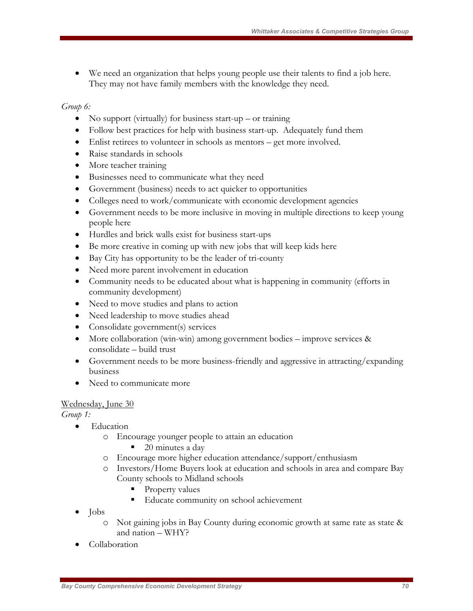We need an organization that helps young people use their talents to find a job here. They may not have family members with the knowledge they need.

#### *Group 6:*

- No support (virtually) for business start-up or training
- Follow best practices for help with business start-up. Adequately fund them
- Enlist retirees to volunteer in schools as mentors get more involved.
- Raise standards in schools
- More teacher training
- Businesses need to communicate what they need
- Government (business) needs to act quicker to opportunities
- Colleges need to work/communicate with economic development agencies
- Government needs to be more inclusive in moving in multiple directions to keep young people here
- Hurdles and brick walls exist for business start-ups
- Be more creative in coming up with new jobs that will keep kids here
- Bay City has opportunity to be the leader of tri-county
- Need more parent involvement in education
- Community needs to be educated about what is happening in community (efforts in community development)
- Need to move studies and plans to action
- Need leadership to move studies ahead
- Consolidate government(s) services
- More collaboration (win-win) among government bodies improve services & consolidate – build trust
- Government needs to be more business-friendly and aggressive in attracting/expanding business
- Need to communicate more

#### Wednesday, June 30

*Group 1:*

- Education
	- o Encourage younger people to attain an education
		- 20 minutes a day
	- o Encourage more higher education attendance/support/enthusiasm
	- o Investors/Home Buyers look at education and schools in area and compare Bay County schools to Midland schools
		- Property values
		- Educate community on school achievement
- Jobs
	- o Not gaining jobs in Bay County during economic growth at same rate as state & and nation – WHY?
- Collaboration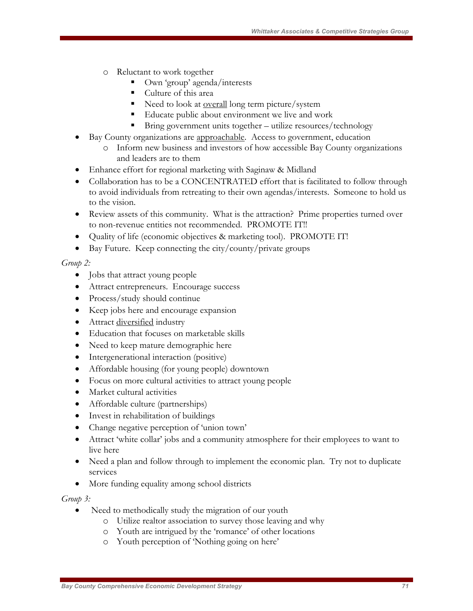- o Reluctant to work together
	- Own 'group' agenda/interests
	- Culture of this area
	- Need to look at <u>overall</u> long term picture/system
	- Educate public about environment we live and work
	- Bring government units together utilize resources/technology
- Bay County organizations are approachable. Access to government, education o Inform new business and investors of how accessible Bay County organizations
	- and leaders are to them
- Enhance effort for regional marketing with Saginaw & Midland
- Collaboration has to be a CONCENTRATED effort that is facilitated to follow through to avoid individuals from retreating to their own agendas/interests. Someone to hold us to the vision.
- Review assets of this community. What is the attraction? Prime properties turned over to non-revenue entities not recommended. PROMOTE IT!!
- Quality of life (economic objectives & marketing tool). PROMOTE IT!
- Bay Future. Keep connecting the city/county/private groups

#### *Group 2:*

- Jobs that attract young people
- Attract entrepreneurs. Encourage success
- Process/study should continue
- Keep jobs here and encourage expansion
- Attract diversified industry
- Education that focuses on marketable skills
- Need to keep mature demographic here
- Intergenerational interaction (positive)
- Affordable housing (for young people) downtown
- Focus on more cultural activities to attract young people
- Market cultural activities
- Affordable culture (partnerships)
- Invest in rehabilitation of buildings
- Change negative perception of 'union town'
- Attract 'white collar' jobs and a community atmosphere for their employees to want to live here
- Need a plan and follow through to implement the economic plan. Try not to duplicate services
- More funding equality among school districts

#### *Group 3:*

- Need to methodically study the migration of our youth
	- o Utilize realtor association to survey those leaving and why
	- o Youth are intrigued by the 'romance' of other locations
	- o Youth perception of 'Nothing going on here'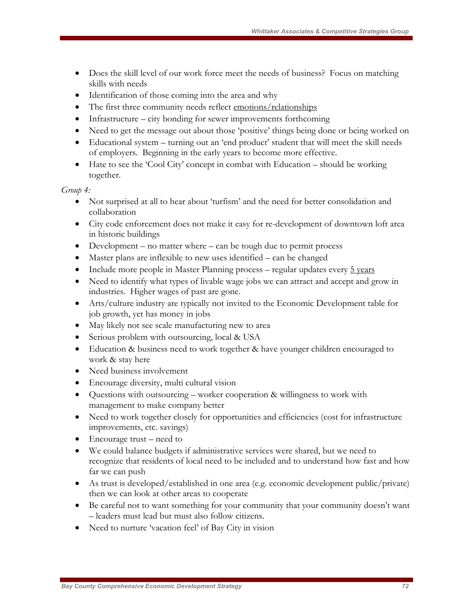- Does the skill level of our work force meet the needs of business? Focus on matching skills with needs
- Identification of those coming into the area and why
- The first three community needs reflect emotions/relationships
- Infrastructure city bonding for sewer improvements forthcoming
- Need to get the message out about those 'positive' things being done or being worked on
- Educational system turning out an 'end product' student that will meet the skill needs of employers. Beginning in the early years to become more effective.
- Hate to see the 'Cool City' concept in combat with Education should be working together.

#### *Group 4:*

- Not surprised at all to hear about 'turfism' and the need for better consolidation and collaboration
- City code enforcement does not make it easy for re-development of downtown loft area in historic buildings
- Development no matter where can be tough due to permit process
- Master plans are inflexible to new uses identified can be changed
- Include more people in Master Planning process regular updates every  $\frac{5 \text{ years}}{2}$
- Need to identify what types of livable wage jobs we can attract and accept and grow in industries. Higher wages of past are gone.
- Arts/culture industry are typically not invited to the Economic Development table for job growth, yet has money in jobs
- May likely not see scale manufacturing new to area
- Serious problem with outsourcing, local & USA
- Education & business need to work together & have younger children encouraged to work & stay here
- Need business involvement
- Encourage diversity, multi cultural vision
- Questions with outsourcing worker cooperation & willingness to work with management to make company better
- Need to work together closely for opportunities and efficiencies (cost for infrastructure improvements, etc. savings)
- Encourage trust need to
- We could balance budgets if administrative services were shared, but we need to recognize that residents of local need to be included and to understand how fast and how far we can push
- As trust is developed/established in one area (e.g. economic development public/private) then we can look at other areas to cooperate
- Be careful not to want something for your community that your community doesn't want – leaders must lead but must also follow citizens.
- Need to nurture 'vacation feel' of Bay City in vision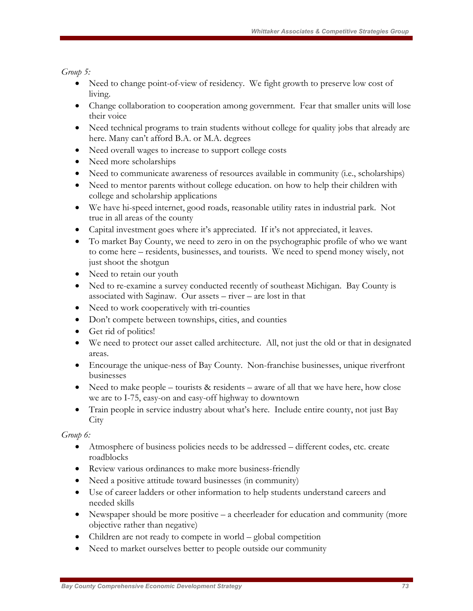*Group 5:* 

- Need to change point-of-view of residency. We fight growth to preserve low cost of living.
- Change collaboration to cooperation among government. Fear that smaller units will lose their voice
- Need technical programs to train students without college for quality jobs that already are here. Many can't afford B.A. or M.A. degrees
- Need overall wages to increase to support college costs
- Need more scholarships
- Need to communicate awareness of resources available in community (i.e., scholarships)
- Need to mentor parents without college education. on how to help their children with college and scholarship applications
- We have hi-speed internet, good roads, reasonable utility rates in industrial park. Not true in all areas of the county
- Capital investment goes where it's appreciated. If it's not appreciated, it leaves.
- To market Bay County, we need to zero in on the psychographic profile of who we want to come here – residents, businesses, and tourists. We need to spend money wisely, not just shoot the shotgun
- Need to retain our youth
- Ned to re-examine a survey conducted recently of southeast Michigan. Bay County is associated with Saginaw. Our assets – river – are lost in that
- Need to work cooperatively with tri-counties
- Don't compete between townships, cities, and counties
- Get rid of politics!
- We need to protect our asset called architecture. All, not just the old or that in designated areas.
- Encourage the unique-ness of Bay County. Non-franchise businesses, unique riverfront businesses
- Need to make people tourists  $&$  residents aware of all that we have here, how close we are to I-75, easy-on and easy-off highway to downtown
- Train people in service industry about what's here. Include entire county, not just Bay **City**

*Group 6:* 

- Atmosphere of business policies needs to be addressed different codes, etc. create roadblocks
- Review various ordinances to make more business-friendly
- Need a positive attitude toward businesses (in community)
- Use of career ladders or other information to help students understand careers and needed skills
- Newspaper should be more positive a cheerleader for education and community (more objective rather than negative)
- Children are not ready to compete in world global competition
- Need to market ourselves better to people outside our community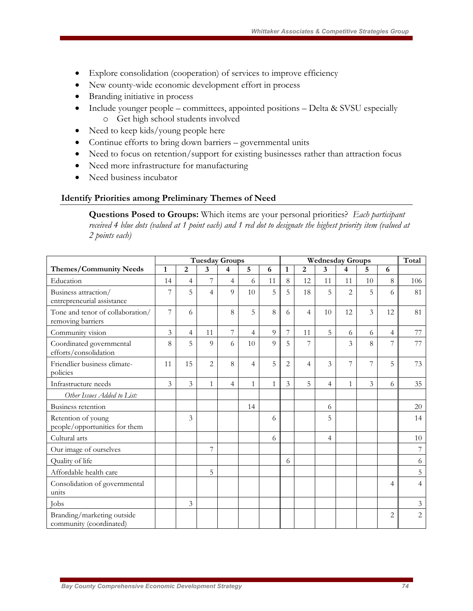- Explore consolidation (cooperation) of services to improve efficiency
- New county-wide economic development effort in process
- Branding initiative in process
- Include younger people committees, appointed positions Delta & SVSU especially o Get high school students involved
- Need to keep kids/young people here
- Continue efforts to bring down barriers governmental units
- Need to focus on retention/support for existing businesses rather than attraction focus
- Need more infrastructure for manufacturing
- Need business incubator

### **Identify Priorities among Preliminary Themes of Need**

**Questions Posed to Groups:** Which items are your personal priorities? *Each participant received 4 blue dots (valued at 1 point each) and 1 red dot to designate the highest priority item (valued at 2 points each)* 

|                                                       | <b>Tuesday Groups</b> |                |                |                |    |              |                | Total          |    |                |                         |    |                |
|-------------------------------------------------------|-----------------------|----------------|----------------|----------------|----|--------------|----------------|----------------|----|----------------|-------------------------|----|----------------|
| <b>Themes/Community Needs</b>                         | $\mathbf{1}$          | $\overline{2}$ | 3              | 4              | 5  | 6            | 1              | $\overline{2}$ | 3  | 4              | 5                       | 6  |                |
| Education                                             | 14                    | 4              | 7              | $\overline{4}$ | 6  | 11           | 8              | 12             | 11 | 11             | 10                      | 8  | 106            |
| Business attraction/<br>entrepreneurial assistance    | 7                     | 5              | $\overline{4}$ | 9              | 10 | 5            | 5              | 18             | 5  | $\overline{2}$ | 5                       | 6  | 81             |
| Tone and tenor of collaboration/<br>removing barriers | 7                     | 6              |                | 8              | 5  | 8            | 6              | $\overline{4}$ | 10 | 12             | $\overline{\mathbf{3}}$ | 12 | 81             |
| Community vision                                      | $\overline{3}$        | 4              | 11             | $\overline{7}$ | 4  | 9            | 7              | 11             | 5  | 6              | 6                       | 4  | 77             |
| Coordinated governmental<br>efforts/consolidation     | 8                     | 5              | 9              | 6              | 10 | 9            | 5              | 7              |    | 3              | 8                       | 7  | 77             |
| Friendlier business climate-<br>policies              | 11                    | 15             | 2              | 8              | 4  | 5            | $\overline{2}$ | $\overline{4}$ | 3  | 7              | 7                       | 5  | 73             |
| Infrastructure needs                                  | 3                     | 3              | $\mathbf{1}$   | 4              | 1  | $\mathbf{1}$ | 3              | 5              | 4  | $\mathbf{1}$   | 3                       | 6  | 35             |
| Other Issues Added to List:                           |                       |                |                |                |    |              |                |                |    |                |                         |    |                |
| Business retention                                    |                       |                |                |                | 14 |              |                |                | 6  |                |                         |    | 20             |
| Retention of young<br>people/opportunities for them   |                       | 3              |                |                |    | 6            |                |                | 5  |                |                         |    | 14             |
| Cultural arts                                         |                       |                |                |                |    | 6            |                |                | 4  |                |                         |    | 10             |
| Our image of ourselves                                |                       |                | 7              |                |    |              |                |                |    |                |                         |    | 7              |
| Quality of life                                       |                       |                |                |                |    |              | 6              |                |    |                |                         |    | 6              |
| Affordable health care                                |                       |                | 5              |                |    |              |                |                |    |                |                         |    | 5              |
| Consolidation of governmental<br>units                |                       |                |                |                |    |              |                |                |    |                |                         | 4  | $\overline{4}$ |
| <b>Tobs</b>                                           |                       | 3              |                |                |    |              |                |                |    |                |                         |    | $\mathfrak{Z}$ |
| Branding/marketing outside<br>community (coordinated) |                       |                |                |                |    |              |                |                |    |                |                         | 2  | $\overline{c}$ |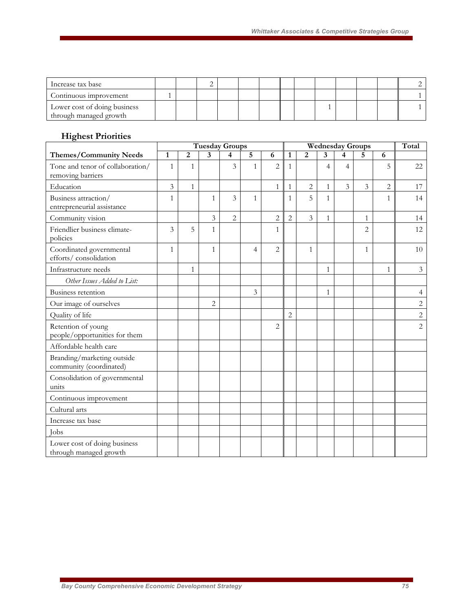| Increase tax base                                      |  |  |  |  |  |  |  |
|--------------------------------------------------------|--|--|--|--|--|--|--|
| Continuous improvement                                 |  |  |  |  |  |  |  |
| Lower cost of doing business<br>through managed growth |  |  |  |  |  |  |  |

# **Highest Priorities**

|                                                        | <b>Tuesday Groups</b> |                |                |                |                | <b>Wednesday Groups</b> |                |                |                |                |                | Total          |                |
|--------------------------------------------------------|-----------------------|----------------|----------------|----------------|----------------|-------------------------|----------------|----------------|----------------|----------------|----------------|----------------|----------------|
| <b>Themes/Community Needs</b>                          | 1                     | $\overline{2}$ | 3              | 4              | 5              | 6                       | $\mathbf{1}$   | 2              | 3              | 4              | 5              | 6              |                |
| Tone and tenor of collaboration/<br>removing barriers  | $\mathbf{1}$          | $\mathbf{1}$   |                | 3              | $\mathbf{1}$   | $\overline{2}$          | $\mathbf{1}$   |                | $\overline{4}$ | $\overline{4}$ |                | 5              | 22             |
| Education                                              | $\overline{3}$        | $\mathbf{1}$   |                |                |                | $\mathbf{1}$            | $\mathbf{1}$   | $\overline{2}$ | $\mathbf{1}$   | $\overline{3}$ | $\overline{3}$ | $\overline{c}$ | 17             |
| Business attraction/<br>entrepreneurial assistance     | $\mathbf{1}$          |                | $\mathbf{1}$   | $\overline{3}$ | $\mathbf{1}$   |                         | $\mathbf{1}$   | 5              | $\mathbf{1}$   |                |                | $\mathbf{1}$   | 14             |
| Community vision                                       |                       |                | 3              | $\overline{c}$ |                | $\overline{c}$          | $\overline{2}$ | 3              | $\mathbf{1}$   |                | $\mathbf{1}$   |                | 14             |
| Friendlier business climate-<br>policies               | 3                     | 5              | $\mathbf{1}$   |                |                | 1                       |                |                |                |                | $\overline{2}$ |                | 12             |
| Coordinated governmental<br>efforts/consolidation      | $\mathbf{1}$          |                | $\mathbf{1}$   |                | $\overline{4}$ | $\overline{2}$          |                | $\mathbf{1}$   |                |                | $\mathbf{1}$   |                | 10             |
| Infrastructure needs                                   |                       | $\mathbf{1}$   |                |                |                |                         |                |                | $\mathbf{1}$   |                |                | $\mathbf{1}$   | $\mathfrak{Z}$ |
| Other Issues Added to List:                            |                       |                |                |                |                |                         |                |                |                |                |                |                |                |
| Business retention                                     |                       |                |                |                | 3              |                         |                |                | 1              |                |                |                | $\overline{4}$ |
| Our image of ourselves                                 |                       |                | $\overline{2}$ |                |                |                         |                |                |                |                |                |                | $\overline{2}$ |
| Quality of life                                        |                       |                |                |                |                |                         | $\overline{c}$ |                |                |                |                |                | $\overline{c}$ |
| Retention of young<br>people/opportunities for them    |                       |                |                |                |                | $\overline{2}$          |                |                |                |                |                |                | $\overline{2}$ |
| Affordable health care                                 |                       |                |                |                |                |                         |                |                |                |                |                |                |                |
| Branding/marketing outside<br>community (coordinated)  |                       |                |                |                |                |                         |                |                |                |                |                |                |                |
| Consolidation of governmental<br>units                 |                       |                |                |                |                |                         |                |                |                |                |                |                |                |
| Continuous improvement                                 |                       |                |                |                |                |                         |                |                |                |                |                |                |                |
| Cultural arts                                          |                       |                |                |                |                |                         |                |                |                |                |                |                |                |
| Increase tax base                                      |                       |                |                |                |                |                         |                |                |                |                |                |                |                |
| <b>I</b> obs                                           |                       |                |                |                |                |                         |                |                |                |                |                |                |                |
| Lower cost of doing business<br>through managed growth |                       |                |                |                |                |                         |                |                |                |                |                |                |                |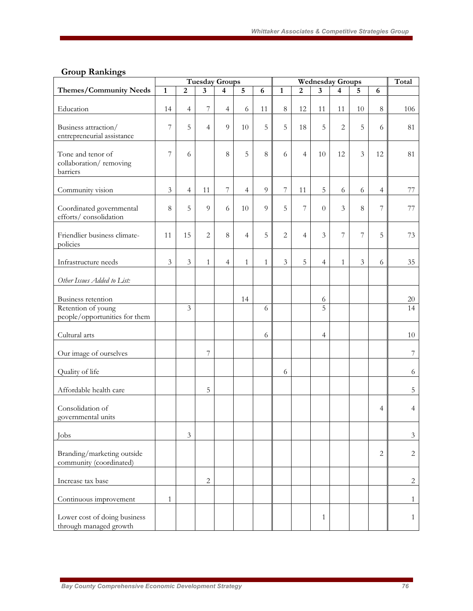# **Group Rankings**

|                                                                           |                |                         |                         | <b>Tuesday Groups</b> |                |                 | <b>Wednesday Groups</b> |                |                     |                |                | Total                    |                  |
|---------------------------------------------------------------------------|----------------|-------------------------|-------------------------|-----------------------|----------------|-----------------|-------------------------|----------------|---------------------|----------------|----------------|--------------------------|------------------|
| <b>Themes/Community Needs</b>                                             | $\mathbf{1}$   | $\overline{2}$          | $\overline{\mathbf{3}}$ | 4                     | $\overline{5}$ | 6               | $\mathbf{1}$            | $\overline{2}$ | 3                   | 4              | 5              | 6                        |                  |
| Education                                                                 | 14             | $\overline{4}$          | 7                       | $\overline{4}$        | 6              | 11              | $8\,$                   | 12             | 11                  | 11             | 10             | $\,8\,$                  | 106              |
| Business attraction/<br>entrepreneurial assistance                        | 7              | 5                       | $\overline{4}$          | $\overline{Q}$        | 10             | 5               | 5                       | 18             | 5                   | $\overline{2}$ | 5              | 6                        | 81               |
| Tone and tenor of<br>collaboration/removing<br>barriers                   | 7              | 6                       |                         | 8                     | 5              | $8\phantom{.0}$ | 6                       | $\overline{4}$ | 10                  | 12             | 3              | 12                       | 81               |
| Community vision                                                          | $\mathfrak{Z}$ | $\overline{4}$          | 11                      | 7                     | $\overline{4}$ | 9               | 7                       | 11             | $\mathbf 5$         | 6              | 6              | $\overline{4}$           | 77               |
| Coordinated governmental<br>efforts/consolidation                         | 8              | 5                       | 9                       | 6                     | 10             | 9               | 5                       | 7              | $\Omega$            | 3              | 8              | $\overline{\phantom{a}}$ | 77               |
| Friendlier business climate-<br>policies                                  | 11             | 15                      | $\overline{2}$          | 8                     | 4              | 5               | $\overline{c}$          | $\overline{4}$ | 3                   | 7              | 7              | 5                        | 73               |
| Infrastructure needs                                                      | $\mathfrak{Z}$ | $\mathfrak{Z}$          | $\mathbf{1}$            | $\overline{4}$        | $\mathbf{1}$   | $\mathbf{1}$    | $\mathfrak{Z}$          | 5              | $\overline{4}$      | $\mathbf{1}$   | $\mathfrak{Z}$ | 6                        | 35               |
| Other Issues Added to List:                                               |                |                         |                         |                       |                |                 |                         |                |                     |                |                |                          |                  |
| Business retention<br>Retention of young<br>people/opportunities for them |                | $\overline{\mathbf{3}}$ |                         |                       | 14             | 6               |                         |                | 6<br>$\overline{5}$ |                |                |                          | 20<br>14         |
| Cultural arts                                                             |                |                         |                         |                       |                | 6               |                         |                | $\overline{4}$      |                |                |                          | 10               |
| Our image of ourselves                                                    |                |                         | 7                       |                       |                |                 |                         |                |                     |                |                |                          | $\boldsymbol{7}$ |
| Quality of life                                                           |                |                         |                         |                       |                |                 | 6                       |                |                     |                |                |                          | 6                |
| Affordable health care                                                    |                |                         | 5                       |                       |                |                 |                         |                |                     |                |                |                          | 5                |
| Consolidation of<br>governmental units                                    |                |                         |                         |                       |                |                 |                         |                |                     |                |                | $\overline{4}$           | $\overline{4}$   |
| Jobs                                                                      |                | $\mathfrak{Z}$          |                         |                       |                |                 |                         |                |                     |                |                |                          | $\mathfrak{Z}$   |
| Branding/marketing outside<br>community (coordinated)                     |                |                         |                         |                       |                |                 |                         |                |                     |                |                | 2                        | 2                |
| Increase tax base                                                         |                |                         | $\overline{c}$          |                       |                |                 |                         |                |                     |                |                |                          | $\overline{c}$   |
| Continuous improvement                                                    | $\mathbf{1}$   |                         |                         |                       |                |                 |                         |                |                     |                |                |                          | $\mathbf{1}$     |
| Lower cost of doing business<br>through managed growth                    |                |                         |                         |                       |                |                 |                         |                | $\mathbf{1}$        |                |                |                          | $\mathbf{1}$     |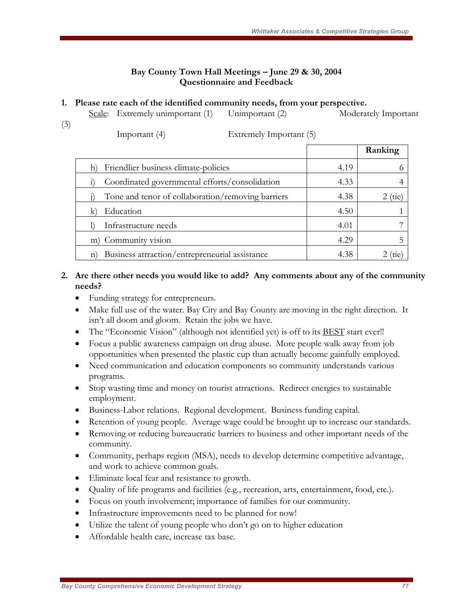### **Bay County Town Hall Meetings – June 29 & 30, 2004 Questionnaire and Feedback**

#### **1. Please rate each of the identified community needs, from your perspective.**

|     | Scale: Extremely unimportant (1) l | Unimportant (2) | Moderately Important |
|-----|------------------------------------|-----------------|----------------------|
| (3) |                                    |                 |                      |

| × |  |
|---|--|
| I |  |

| Important (4) |  |
|---------------|--|
|               |  |

Extremely Important (5)

|                                                                |      | Ranking |
|----------------------------------------------------------------|------|---------|
| Friendlier business climate-policies                           | 4.19 |         |
| Coordinated governmental efforts/consolidation                 | 4.33 |         |
| Tone and tenor of collaboration/removing barriers              | 4.38 | tie     |
| Education                                                      | 4.50 |         |
| Infrastructure needs                                           | 4.01 |         |
| m) Community vision                                            | 4.29 |         |
| Business attraction/entrepreneurial assistance<br>$\mathbf{n}$ | 4.38 |         |

### **2. Are there other needs you would like to add? Any comments about any of the community needs?**

- Funding strategy for entrepreneurs.
- Make full use of the water. Bay City and Bay County are moving in the right direction. It isn't all doom and gloom. Retain the jobs we have.
- The "Economic Vision" (although not identified yet) is off to its **BEST** start ever!!
- Focus a public awareness campaign on drug abuse. More people walk away from job opportunities when presented the plastic cup than actually become gainfully employed.
- Need communication and education components so community understands various programs.
- Stop wasting time and money on tourist attractions. Redirect energies to sustainable employment.
- Business-Labor relations. Regional development. Business funding capital.
- Retention of young people. Average wage could be brought up to increase our standards.
- Removing or reducing bureaucratic barriers to business and other important needs of the community.
- Community, perhaps region (MSA), needs to develop determine competitive advantage, and work to achieve common goals.
- Eliminate local fear and resistance to growth.
- Quality of life programs and facilities (e.g., recreation, arts, entertainment, food, etc.).
- Focus on youth involvement; importance of families for our community.
- Infrastructure improvements need to be planned for now!
- Utilize the talent of young people who don't go on to higher education
- Affordable health care, increase tax base.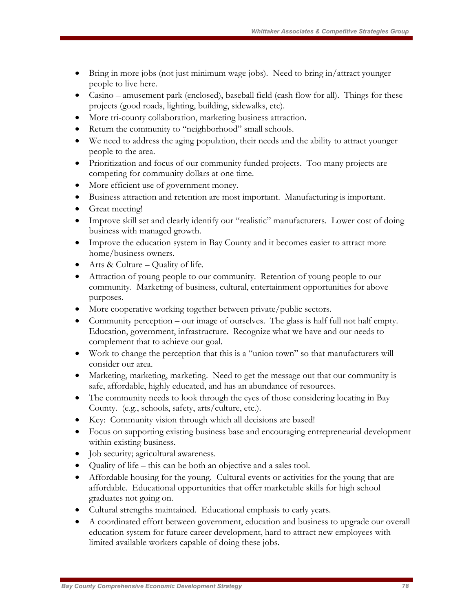- Bring in more jobs (not just minimum wage jobs). Need to bring in/attract younger people to live here.
- Casino amusement park (enclosed), baseball field (cash flow for all). Things for these projects (good roads, lighting, building, sidewalks, etc).
- More tri-county collaboration, marketing business attraction.
- Return the community to "neighborhood" small schools.
- We need to address the aging population, their needs and the ability to attract younger people to the area.
- Prioritization and focus of our community funded projects. Too many projects are competing for community dollars at one time.
- More efficient use of government money.
- Business attraction and retention are most important. Manufacturing is important.
- Great meeting!
- Improve skill set and clearly identify our "realistic" manufacturers. Lower cost of doing business with managed growth.
- Improve the education system in Bay County and it becomes easier to attract more home/business owners.
- Arts & Culture Quality of life.
- Attraction of young people to our community. Retention of young people to our community. Marketing of business, cultural, entertainment opportunities for above purposes.
- More cooperative working together between private/public sectors.
- Community perception our image of ourselves. The glass is half full not half empty. Education, government, infrastructure. Recognize what we have and our needs to complement that to achieve our goal.
- Work to change the perception that this is a "union town" so that manufacturers will consider our area.
- Marketing, marketing, marketing. Need to get the message out that our community is safe, affordable, highly educated, and has an abundance of resources.
- The community needs to look through the eyes of those considering locating in Bay County. (e.g., schools, safety, arts/culture, etc.).
- Key: Community vision through which all decisions are based!
- Focus on supporting existing business base and encouraging entrepreneurial development within existing business.
- Job security; agricultural awareness.
- Quality of life this can be both an objective and a sales tool.
- Affordable housing for the young. Cultural events or activities for the young that are affordable. Educational opportunities that offer marketable skills for high school graduates not going on.
- Cultural strengths maintained. Educational emphasis to early years.
- A coordinated effort between government, education and business to upgrade our overall education system for future career development, hard to attract new employees with limited available workers capable of doing these jobs.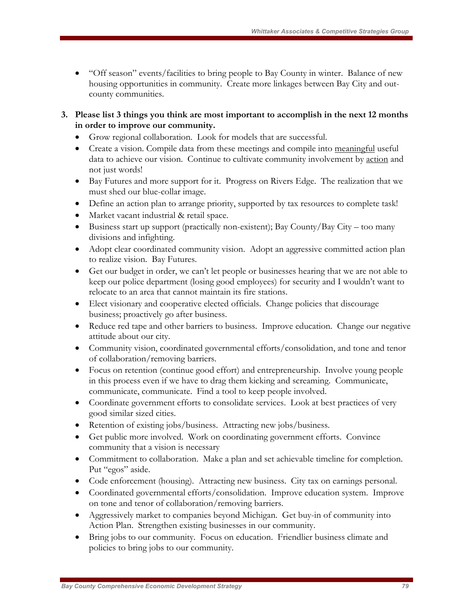- "Off season" events/facilities to bring people to Bay County in winter. Balance of new housing opportunities in community. Create more linkages between Bay City and outcounty communities.
- **3. Please list 3 things you think are most important to accomplish in the next 12 months in order to improve our community.** 
	- Grow regional collaboration. Look for models that are successful.
	- Create a vision. Compile data from these meetings and compile into meaningful useful data to achieve our vision. Continue to cultivate community involvement by action and not just words!
	- Bay Futures and more support for it. Progress on Rivers Edge. The realization that we must shed our blue-collar image.
	- Define an action plan to arrange priority, supported by tax resources to complete task!
	- Market vacant industrial & retail space.
	- Business start up support (practically non-existent); Bay County/Bay City too many divisions and infighting.
	- Adopt clear coordinated community vision. Adopt an aggressive committed action plan to realize vision. Bay Futures.
	- Get our budget in order, we can't let people or businesses hearing that we are not able to keep our police department (losing good employees) for security and I wouldn't want to relocate to an area that cannot maintain its fire stations.
	- Elect visionary and cooperative elected officials. Change policies that discourage business; proactively go after business.
	- Reduce red tape and other barriers to business. Improve education. Change our negative attitude about our city.
	- Community vision, coordinated governmental efforts/consolidation, and tone and tenor of collaboration/removing barriers.
	- Focus on retention (continue good effort) and entrepreneurship. Involve young people in this process even if we have to drag them kicking and screaming. Communicate, communicate, communicate. Find a tool to keep people involved.
	- Coordinate government efforts to consolidate services. Look at best practices of very good similar sized cities.
	- Retention of existing jobs/business. Attracting new jobs/business.
	- Get public more involved. Work on coordinating government efforts. Convince community that a vision is necessary
	- Commitment to collaboration. Make a plan and set achievable timeline for completion. Put "egos" aside.
	- Code enforcement (housing). Attracting new business. City tax on earnings personal.
	- Coordinated governmental efforts/consolidation. Improve education system. Improve on tone and tenor of collaboration/removing barriers.
	- Aggressively market to companies beyond Michigan. Get buy-in of community into Action Plan. Strengthen existing businesses in our community.
	- Bring jobs to our community. Focus on education. Friendlier business climate and policies to bring jobs to our community.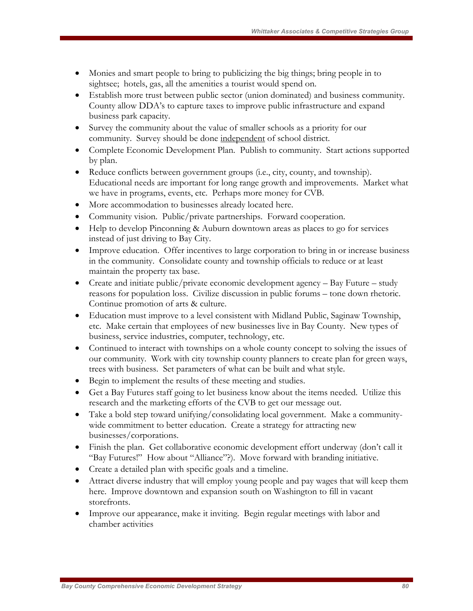- Monies and smart people to bring to publicizing the big things; bring people in to sightsee; hotels, gas, all the amenities a tourist would spend on.
- Establish more trust between public sector (union dominated) and business community. County allow DDA's to capture taxes to improve public infrastructure and expand business park capacity.
- Survey the community about the value of smaller schools as a priority for our community. Survey should be done independent of school district.
- Complete Economic Development Plan. Publish to community. Start actions supported by plan.
- Reduce conflicts between government groups (i.e., city, county, and township). Educational needs are important for long range growth and improvements. Market what we have in programs, events, etc. Perhaps more money for CVB.
- More accommodation to businesses already located here.
- Community vision. Public/private partnerships. Forward cooperation.
- Help to develop Pinconning & Auburn downtown areas as places to go for services instead of just driving to Bay City.
- Improve education. Offer incentives to large corporation to bring in or increase business in the community. Consolidate county and township officials to reduce or at least maintain the property tax base.
- Create and initiate public/private economic development agency Bay Future study reasons for population loss. Civilize discussion in public forums – tone down rhetoric. Continue promotion of arts & culture.
- Education must improve to a level consistent with Midland Public, Saginaw Township, etc. Make certain that employees of new businesses live in Bay County. New types of business, service industries, computer, technology, etc.
- Continued to interact with townships on a whole county concept to solving the issues of our community. Work with city township county planners to create plan for green ways, trees with business. Set parameters of what can be built and what style.
- Begin to implement the results of these meeting and studies.
- Get a Bay Futures staff going to let business know about the items needed. Utilize this research and the marketing efforts of the CVB to get our message out.
- Take a bold step toward unifying/consolidating local government. Make a communitywide commitment to better education. Create a strategy for attracting new businesses/corporations.
- Finish the plan. Get collaborative economic development effort underway (don't call it "Bay Futures!" How about "Alliance"?). Move forward with branding initiative.
- Create a detailed plan with specific goals and a timeline.
- Attract diverse industry that will employ young people and pay wages that will keep them here. Improve downtown and expansion south on Washington to fill in vacant storefronts.
- Improve our appearance, make it inviting. Begin regular meetings with labor and chamber activities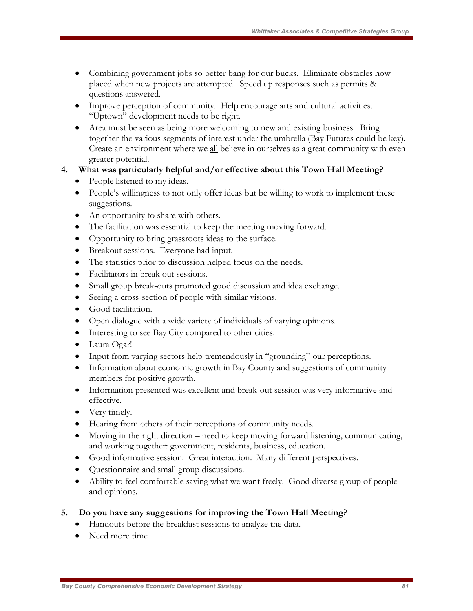- Combining government jobs so better bang for our bucks. Eliminate obstacles now placed when new projects are attempted. Speed up responses such as permits & questions answered.
- Improve perception of community. Help encourage arts and cultural activities. "Uptown" development needs to be right.
- Area must be seen as being more welcoming to new and existing business. Bring together the various segments of interest under the umbrella (Bay Futures could be key). Create an environment where we all believe in ourselves as a great community with even greater potential.
- **4. What was particularly helpful and/or effective about this Town Hall Meeting?** 
	- People listened to my ideas.
	- People's willingness to not only offer ideas but be willing to work to implement these suggestions.
	- An opportunity to share with others.
	- The facilitation was essential to keep the meeting moving forward.
	- Opportunity to bring grassroots ideas to the surface.
	- Breakout sessions. Everyone had input.
	- The statistics prior to discussion helped focus on the needs.
	- Facilitators in break out sessions.
	- Small group break-outs promoted good discussion and idea exchange.
	- Seeing a cross-section of people with similar visions.
	- Good facilitation.
	- Open dialogue with a wide variety of individuals of varying opinions.
	- Interesting to see Bay City compared to other cities.
	- Laura Ogar!
	- Input from varying sectors help tremendously in "grounding" our perceptions.
	- Information about economic growth in Bay County and suggestions of community members for positive growth.
	- Information presented was excellent and break-out session was very informative and effective.
	- Very timely.
	- Hearing from others of their perceptions of community needs.
	- Moving in the right direction need to keep moving forward listening, communicating, and working together: government, residents, business, education.
	- Good informative session. Great interaction. Many different perspectives.
	- Questionnaire and small group discussions.
	- Ability to feel comfortable saying what we want freely. Good diverse group of people and opinions.
- **5. Do you have any suggestions for improving the Town Hall Meeting?** 
	- Handouts before the breakfast sessions to analyze the data.
	- Need more time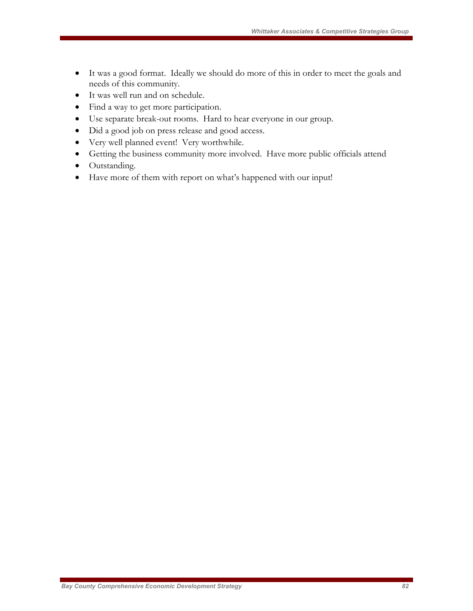- It was a good format. Ideally we should do more of this in order to meet the goals and needs of this community.
- It was well run and on schedule.
- Find a way to get more participation.
- Use separate break-out rooms. Hard to hear everyone in our group.
- Did a good job on press release and good access.
- Very well planned event! Very worthwhile.
- Getting the business community more involved. Have more public officials attend
- Outstanding.
- Have more of them with report on what's happened with our input!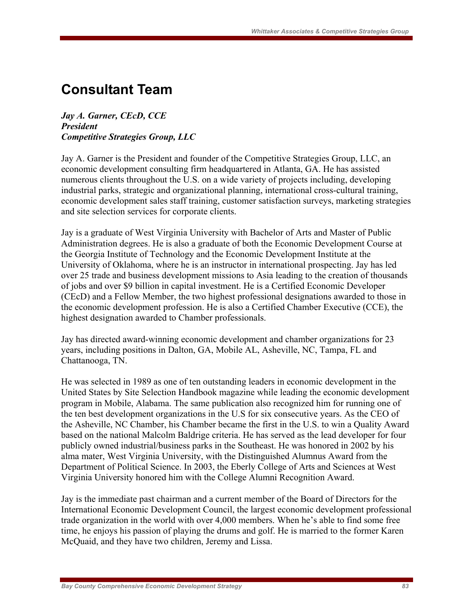# **Consultant Team**

*Jay A. Garner, CEcD, CCE President Competitive Strategies Group, LLC* 

Jay A. Garner is the President and founder of the Competitive Strategies Group, LLC, an economic development consulting firm headquartered in Atlanta, GA. He has assisted numerous clients throughout the U.S. on a wide variety of projects including, developing industrial parks, strategic and organizational planning, international cross-cultural training, economic development sales staff training, customer satisfaction surveys, marketing strategies and site selection services for corporate clients.

Jay is a graduate of West Virginia University with Bachelor of Arts and Master of Public Administration degrees. He is also a graduate of both the Economic Development Course at the Georgia Institute of Technology and the Economic Development Institute at the University of Oklahoma, where he is an instructor in international prospecting. Jay has led over 25 trade and business development missions to Asia leading to the creation of thousands of jobs and over \$9 billion in capital investment. He is a Certified Economic Developer (CEcD) and a Fellow Member, the two highest professional designations awarded to those in the economic development profession. He is also a Certified Chamber Executive (CCE), the highest designation awarded to Chamber professionals.

Jay has directed award-winning economic development and chamber organizations for 23 years, including positions in Dalton, GA, Mobile AL, Asheville, NC, Tampa, FL and Chattanooga, TN.

He was selected in 1989 as one of ten outstanding leaders in economic development in the United States by Site Selection Handbook magazine while leading the economic development program in Mobile, Alabama. The same publication also recognized him for running one of the ten best development organizations in the U.S for six consecutive years. As the CEO of the Asheville, NC Chamber, his Chamber became the first in the U.S. to win a Quality Award based on the national Malcolm Baldrige criteria. He has served as the lead developer for four publicly owned industrial/business parks in the Southeast. He was honored in 2002 by his alma mater, West Virginia University, with the Distinguished Alumnus Award from the Department of Political Science. In 2003, the Eberly College of Arts and Sciences at West Virginia University honored him with the College Alumni Recognition Award.

Jay is the immediate past chairman and a current member of the Board of Directors for the International Economic Development Council, the largest economic development professional trade organization in the world with over 4,000 members. When he's able to find some free time, he enjoys his passion of playing the drums and golf. He is married to the former Karen McQuaid, and they have two children, Jeremy and Lissa.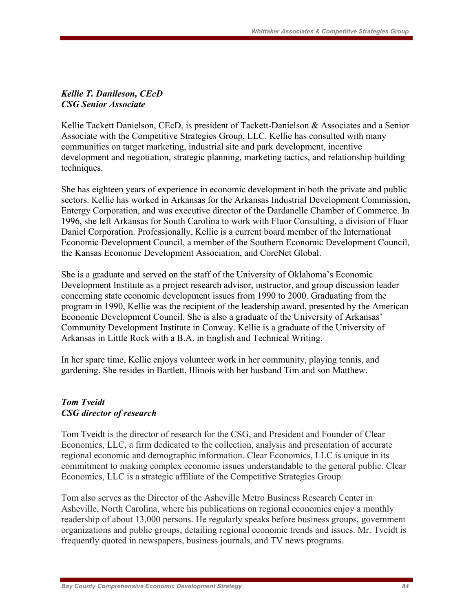### *Kellie T. Danileson, CEcD CSG Senior Associate*

Kellie Tackett Danielson, CEcD, is president of Tackett-Danielson & Associates and a Senior Associate with the Competitive Strategies Group, LLC. Kellie has consulted with many communities on target marketing, industrial site and park development, incentive development and negotiation, strategic planning, marketing tactics, and relationship building techniques.

She has eighteen years of experience in economic development in both the private and public sectors. Kellie has worked in Arkansas for the Arkansas Industrial Development Commission, Entergy Corporation, and was executive director of the Dardanelle Chamber of Commerce. In 1996, she left Arkansas for South Carolina to work with Fluor Consulting, a division of Fluor Daniel Corporation. Professionally, Kellie is a current board member of the International Economic Development Council, a member of the Southern Economic Development Council, the Kansas Economic Development Association, and CoreNet Global.

She is a graduate and served on the staff of the University of Oklahoma's Economic Development Institute as a project research advisor, instructor, and group discussion leader concerning state economic development issues from 1990 to 2000. Graduating from the program in 1990, Kellie was the recipient of the leadership award, presented by the American Economic Development Council. She is also a graduate of the University of Arkansas' Community Development Institute in Conway. Kellie is a graduate of the University of Arkansas in Little Rock with a B.A. in English and Technical Writing.

In her spare time, Kellie enjoys volunteer work in her community, playing tennis, and gardening. She resides in Bartlett, Illinois with her husband Tim and son Matthew.

# *Tom Tveidt CSG director of research*

Tom Tveidt is the director of research for the CSG, and President and Founder of Clear Economics, LLC, a firm dedicated to the collection, analysis and presentation of accurate regional economic and demographic information. Clear Economics, LLC is unique in its commitment to making complex economic issues understandable to the general public. Clear Economics, LLC is a strategic affiliate of the Competitive Strategies Group.

Tom also serves as the Director of the Asheville Metro Business Research Center in Asheville, North Carolina, where his publications on regional economics enjoy a monthly readership of about 13,000 persons. He regularly speaks before business groups, government organizations and public groups, detailing regional economic trends and issues. Mr. Tveidt is frequently quoted in newspapers, business journals, and TV news programs.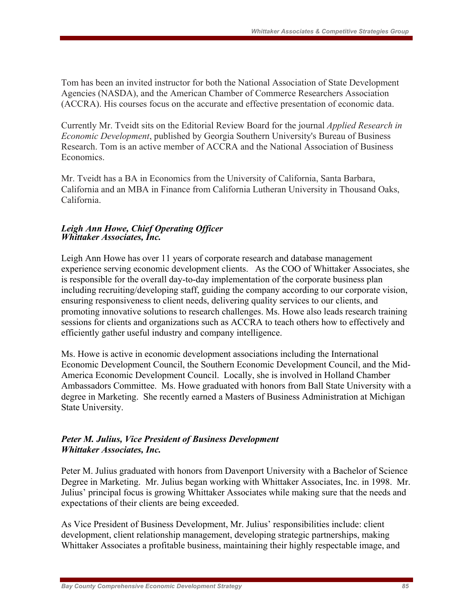Tom has been an invited instructor for both the National Association of State Development Agencies (NASDA), and the American Chamber of Commerce Researchers Association (ACCRA). His courses focus on the accurate and effective presentation of economic data.

Currently Mr. Tveidt sits on the Editorial Review Board for the journal *Applied Research in Economic Development*, published by Georgia Southern University's Bureau of Business Research. Tom is an active member of ACCRA and the National Association of Business **Economics** 

Mr. Tveidt has a BA in Economics from the University of California, Santa Barbara, California and an MBA in Finance from California Lutheran University in Thousand Oaks, California.

### *Leigh Ann Howe, Chief Operating Officer Whittaker Associates, Inc.*

Leigh Ann Howe has over 11 years of corporate research and database management experience serving economic development clients. As the COO of Whittaker Associates, she is responsible for the overall day-to-day implementation of the corporate business plan including recruiting/developing staff, guiding the company according to our corporate vision, ensuring responsiveness to client needs, delivering quality services to our clients, and promoting innovative solutions to research challenges. Ms. Howe also leads research training sessions for clients and organizations such as ACCRA to teach others how to effectively and efficiently gather useful industry and company intelligence.

Ms. Howe is active in economic development associations including the International Economic Development Council, the Southern Economic Development Council, and the Mid-America Economic Development Council. Locally, she is involved in Holland Chamber Ambassadors Committee. Ms. Howe graduated with honors from Ball State University with a degree in Marketing. She recently earned a Masters of Business Administration at Michigan State University.

# *Peter M. Julius, Vice President of Business Development Whittaker Associates, Inc.*

Peter M. Julius graduated with honors from Davenport University with a Bachelor of Science Degree in Marketing. Mr. Julius began working with Whittaker Associates, Inc. in 1998. Mr. Julius' principal focus is growing Whittaker Associates while making sure that the needs and expectations of their clients are being exceeded.

As Vice President of Business Development, Mr. Julius' responsibilities include: client development, client relationship management, developing strategic partnerships, making Whittaker Associates a profitable business, maintaining their highly respectable image, and